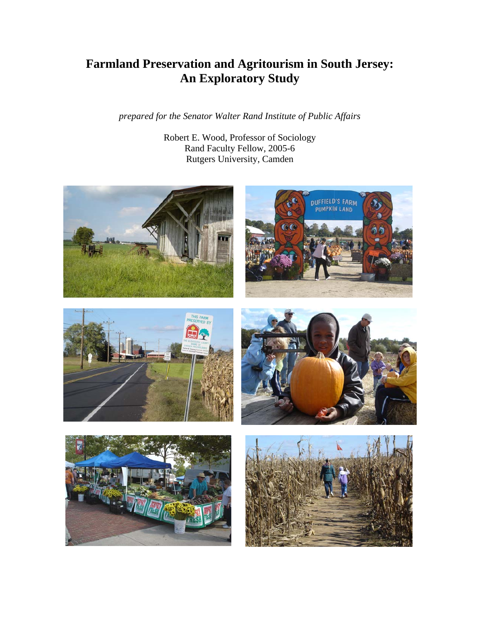# **Farmland Preservation and Agritourism in South Jersey: An Exploratory Study**

*prepared for the Senator Walter Rand Institute of Public Affairs* 

Robert E. Wood, Professor of Sociology Rand Faculty Fellow, 2005-6 Rutgers University, Camden





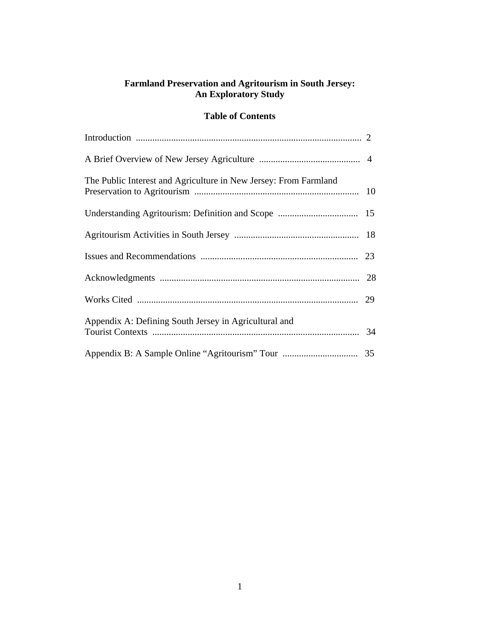## **Farmland Preservation and Agritourism in South Jersey: An Exploratory Study**

## **Table of Contents**

| The Public Interest and Agriculture in New Jersey: From Farmland |  |
|------------------------------------------------------------------|--|
|                                                                  |  |
|                                                                  |  |
|                                                                  |  |
|                                                                  |  |
|                                                                  |  |
| Appendix A: Defining South Jersey in Agricultural and            |  |
|                                                                  |  |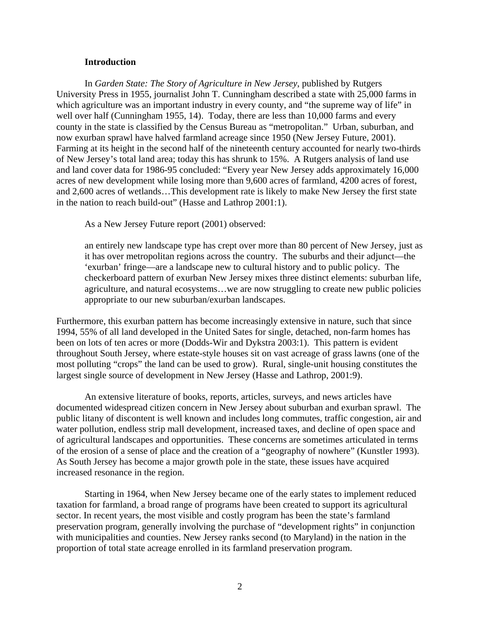#### **Introduction**

In *Garden State: The Story of Agriculture in New Jersey*, published by Rutgers University Press in 1955, journalist John T. Cunningham described a state with 25,000 farms in which agriculture was an important industry in every county, and "the supreme way of life" in well over half (Cunningham 1955, 14). Today, there are less than 10,000 farms and every county in the state is classified by the Census Bureau as "metropolitan." Urban, suburban, and now exurban sprawl have halved farmland acreage since 1950 (New Jersey Future, 2001). Farming at its height in the second half of the nineteenth century accounted for nearly two-thirds of New Jersey's total land area; today this has shrunk to 15%. A Rutgers analysis of land use and land cover data for 1986-95 concluded: "Every year New Jersey adds approximately 16,000 acres of new development while losing more than 9,600 acres of farmland, 4200 acres of forest, and 2,600 acres of wetlands…This development rate is likely to make New Jersey the first state in the nation to reach build-out" (Hasse and Lathrop 2001:1).

As a New Jersey Future report (2001) observed:

an entirely new landscape type has crept over more than 80 percent of New Jersey, just as it has over metropolitan regions across the country. The suburbs and their adjunct—the 'exurban' fringe—are a landscape new to cultural history and to public policy. The checkerboard pattern of exurban New Jersey mixes three distinct elements: suburban life, agriculture, and natural ecosystems…we are now struggling to create new public policies appropriate to our new suburban/exurban landscapes.

Furthermore, this exurban pattern has become increasingly extensive in nature, such that since 1994, 55% of all land developed in the United Sates for single, detached, non-farm homes has been on lots of ten acres or more (Dodds-Wir and Dykstra 2003:1). This pattern is evident throughout South Jersey, where estate-style houses sit on vast acreage of grass lawns (one of the most polluting "crops" the land can be used to grow). Rural, single-unit housing constitutes the largest single source of development in New Jersey (Hasse and Lathrop, 2001:9).

An extensive literature of books, reports, articles, surveys, and news articles have documented widespread citizen concern in New Jersey about suburban and exurban sprawl. The public litany of discontent is well known and includes long commutes, traffic congestion, air and water pollution, endless strip mall development, increased taxes, and decline of open space and of agricultural landscapes and opportunities. These concerns are sometimes articulated in terms of the erosion of a sense of place and the creation of a "geography of nowhere" (Kunstler 1993). As South Jersey has become a major growth pole in the state, these issues have acquired increased resonance in the region.

Starting in 1964, when New Jersey became one of the early states to implement reduced taxation for farmland, a broad range of programs have been created to support its agricultural sector. In recent years, the most visible and costly program has been the state's farmland preservation program, generally involving the purchase of "development rights" in conjunction with municipalities and counties. New Jersey ranks second (to Maryland) in the nation in the proportion of total state acreage enrolled in its farmland preservation program.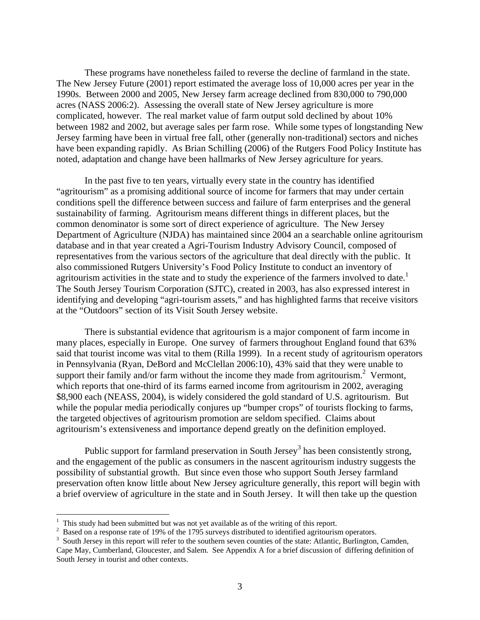These programs have nonetheless failed to reverse the decline of farmland in the state. The New Jersey Future (2001) report estimated the average loss of 10,000 acres per year in the 1990s. Between 2000 and 2005, New Jersey farm acreage declined from 830,000 to 790,000 acres (NASS 2006:2). Assessing the overall state of New Jersey agriculture is more complicated, however. The real market value of farm output sold declined by about 10% between 1982 and 2002, but average sales per farm rose. While some types of longstanding New Jersey farming have been in virtual free fall, other (generally non-traditional) sectors and niches have been expanding rapidly. As Brian Schilling (2006) of the Rutgers Food Policy Institute has noted, adaptation and change have been hallmarks of New Jersey agriculture for years.

In the past five to ten years, virtually every state in the country has identified "agritourism" as a promising additional source of income for farmers that may under certain conditions spell the difference between success and failure of farm enterprises and the general sustainability of farming. Agritourism means different things in different places, but the common denominator is some sort of direct experience of agriculture. The New Jersey Department of Agriculture (NJDA) has maintained since 2004 an a searchable online agritourism database and in that year created a Agri-Tourism Industry Advisory Council, composed of representatives from the various sectors of the agriculture that deal directly with the public. It also commissioned Rutgers University's Food Policy Institute to conduct an inventory of agritourism activities in the state and to study the experience of the farmers involved to date.<sup>[1](#page-3-0)</sup> The South Jersey Tourism Corporation (SJTC), created in 2003, has also expressed interest in identifying and developing "agri-tourism assets," and has highlighted farms that receive visitors at the "Outdoors" section of its Visit South Jersey website.

There is substantial evidence that agritourism is a major component of farm income in many places, especially in Europe. One survey of farmers throughout England found that 63% said that tourist income was vital to them (Rilla 1999). In a recent study of agritourism operators in Pennsylvania (Ryan, DeBord and McClellan 2006:10), 43% said that they were unable to supporttheir family and/or farm without the income they made from agritourism.<sup>2</sup> Vermont, which reports that one-third of its farms earned income from agritourism in 2002, averaging \$8,900 each (NEASS, 2004), is widely considered the gold standard of U.S. agritourism. But while the popular media periodically conjures up "bumper crops" of tourists flocking to farms, the targeted objectives of agritourism promotion are seldom specified. Claims about agritourism's extensiveness and importance depend greatly on the definition employed.

Public support for farmland preservation in South Jersey<sup>[3](#page-3-2)</sup> has been consistently strong, and the engagement of the public as consumers in the nascent agritourism industry suggests the possibility of substantial growth. But since even those who support South Jersey farmland preservation often know little about New Jersey agriculture generally, this report will begin with a brief overview of agriculture in the state and in South Jersey. It will then take up the question

<span id="page-3-0"></span><sup>&</sup>lt;sup>1</sup> This study had been submitted but was not yet available as of the writing of this report.<br><sup>2</sup> Passed on a response rate of 10% of the 1705 surveys distributed to identified egritouries

<span id="page-3-1"></span> $2$  Based on a response rate of 19% of the 1795 surveys distributed to identified agritourism operators.

<span id="page-3-2"></span><sup>&</sup>lt;sup>3</sup> South Jersey in this report will refer to the southern seven counties of the state: Atlantic, Burlington, Camden, Cape May, Cumberland, Gloucester, and Salem. See Appendix A for a brief discussion of differing definition of South Jersey in tourist and other contexts.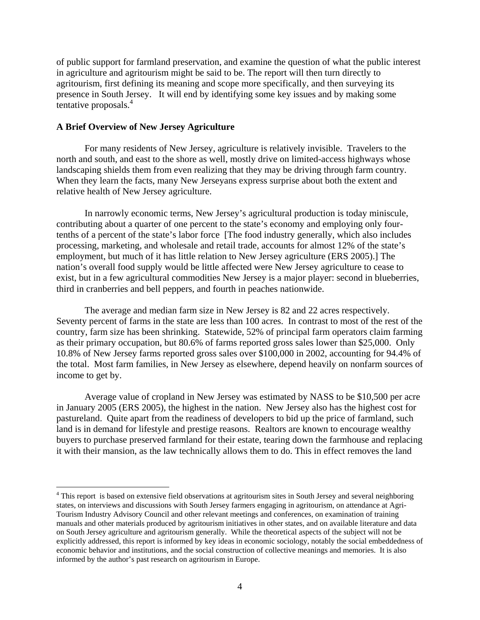of public support for farmland preservation, and examine the question of what the public interest in agriculture and agritourism might be said to be. The report will then turn directly to agritourism, first defining its meaning and scope more specifically, and then surveying its presence in South Jersey. It will end by identifying some key issues and by making some tentative proposals.<sup>4</sup>

#### **A Brief Overview of New Jersey Agriculture**

 $\overline{a}$ 

For many residents of New Jersey, agriculture is relatively invisible. Travelers to the north and south, and east to the shore as well, mostly drive on limited-access highways whose landscaping shields them from even realizing that they may be driving through farm country. When they learn the facts, many New Jerseyans express surprise about both the extent and relative health of New Jersey agriculture.

In narrowly economic terms, New Jersey's agricultural production is today miniscule, contributing about a quarter of one percent to the state's economy and employing only fourtenths of a percent of the state's labor force [The food industry generally, which also includes processing, marketing, and wholesale and retail trade, accounts for almost 12% of the state's employment, but much of it has little relation to New Jersey agriculture (ERS 2005).] The nation's overall food supply would be little affected were New Jersey agriculture to cease to exist, but in a few agricultural commodities New Jersey is a major player: second in blueberries, third in cranberries and bell peppers, and fourth in peaches nationwide.

The average and median farm size in New Jersey is 82 and 22 acres respectively. Seventy percent of farms in the state are less than 100 acres. In contrast to most of the rest of the country, farm size has been shrinking. Statewide, 52% of principal farm operators claim farming as their primary occupation, but 80.6% of farms reported gross sales lower than \$25,000. Only 10.8% of New Jersey farms reported gross sales over \$100,000 in 2002, accounting for 94.4% of the total. Most farm families, in New Jersey as elsewhere, depend heavily on nonfarm sources of income to get by.

Average value of cropland in New Jersey was estimated by NASS to be \$10,500 per acre in January 2005 (ERS 2005), the highest in the nation. New Jersey also has the highest cost for pastureland. Quite apart from the readiness of developers to bid up the price of farmland, such land is in demand for lifestyle and prestige reasons. Realtors are known to encourage wealthy buyers to purchase preserved farmland for their estate, tearing down the farmhouse and replacing it with their mansion, as the law technically allows them to do. This in effect removes the land

<span id="page-4-0"></span><sup>&</sup>lt;sup>4</sup> This report is based on extensive field observations at agritourism sites in South Jersey and several neighboring states, on interviews and discussions with South Jersey farmers engaging in agritourism, on attendance at Agri-Tourism Industry Advisory Council and other relevant meetings and conferences, on examination of training manuals and other materials produced by agritourism initiatives in other states, and on available literature and data on South Jersey agriculture and agritourism generally. While the theoretical aspects of the subject will not be explicitly addressed, this report is informed by key ideas in economic sociology, notably the social embeddedness of economic behavior and institutions, and the social construction of collective meanings and memories. It is also informed by the author's past research on agritourism in Europe.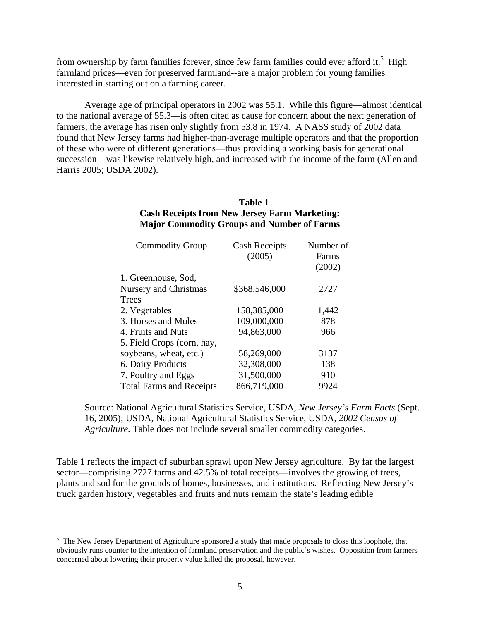fromownership by farm families forever, since few farm families could ever afford it.<sup>5</sup> High farmland prices—even for preserved farmland--are a major problem for young families interested in starting out on a farming career.

Average age of principal operators in 2002 was 55.1. While this figure—almost identical to the national average of 55.3—is often cited as cause for concern about the next generation of farmers, the average has risen only slightly from 53.8 in 1974. A NASS study of 2002 data found that New Jersey farms had higher-than-average multiple operators and that the proportion of these who were of different generations—thus providing a working basis for generational succession—was likewise relatively high, and increased with the income of the farm (Allen and Harris 2005; USDA 2002).

## **Table 1 Cash Receipts from New Jersey Farm Marketing: Major Commodity Groups and Number of Farms**

| <b>Commodity Group</b>          | <b>Cash Receipts</b><br>(2005) | Number of<br>Farms<br>(2002) |
|---------------------------------|--------------------------------|------------------------------|
| 1. Greenhouse, Sod,             |                                |                              |
| <b>Nursery and Christmas</b>    | \$368,546,000                  | 2727                         |
| Trees                           |                                |                              |
| 2. Vegetables                   | 158,385,000                    | 1,442                        |
| 3. Horses and Mules             | 109,000,000                    | 878                          |
| 4. Fruits and Nuts              | 94,863,000                     | 966                          |
| 5. Field Crops (corn, hay,      |                                |                              |
| soybeans, wheat, etc.)          | 58,269,000                     | 3137                         |
| 6. Dairy Products               | 32,308,000                     | 138                          |
| 7. Poultry and Eggs             | 31,500,000                     | 910                          |
| <b>Total Farms and Receipts</b> | 866,719,000                    | 9924                         |
|                                 |                                |                              |

Source: National Agricultural Statistics Service, USDA, *New Jersey's Farm Facts* (Sept. 16, 2005); USDA, National Agricultural Statistics Service, USDA, *2002 Census of Agriculture.* Table does not include several smaller commodity categories.

Table 1 reflects the impact of suburban sprawl upon New Jersey agriculture. By far the largest sector—comprising 2727 farms and 42.5% of total receipts—involves the growing of trees, plants and sod for the grounds of homes, businesses, and institutions. Reflecting New Jersey's truck garden history, vegetables and fruits and nuts remain the state's leading edible

<span id="page-5-0"></span><sup>&</sup>lt;sup>5</sup> The New Jersey Department of Agriculture sponsored a study that made proposals to close this loophole, that obviously runs counter to the intention of farmland preservation and the public's wishes. Opposition from farmers concerned about lowering their property value killed the proposal, however.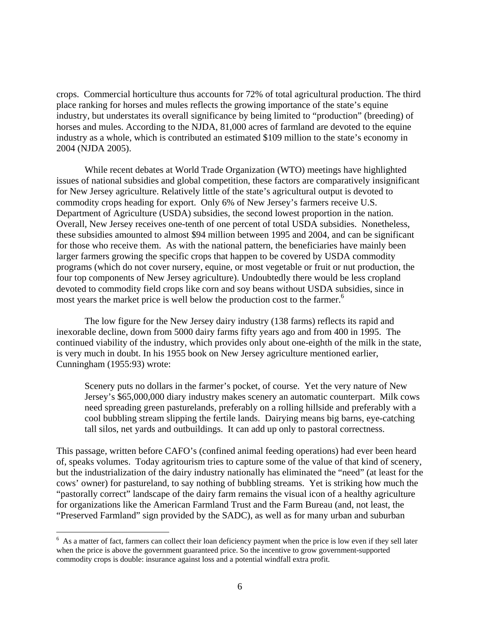crops. Commercial horticulture thus accounts for 72% of total agricultural production. The third place ranking for horses and mules reflects the growing importance of the state's equine industry, but understates its overall significance by being limited to "production" (breeding) of horses and mules. According to the NJDA, 81,000 acres of farmland are devoted to the equine industry as a whole, which is contributed an estimated \$109 million to the state's economy in 2004 (NJDA 2005).

While recent debates at World Trade Organization (WTO) meetings have highlighted issues of national subsidies and global competition, these factors are comparatively insignificant for New Jersey agriculture. Relatively little of the state's agricultural output is devoted to commodity crops heading for export. Only 6% of New Jersey's farmers receive U.S. Department of Agriculture (USDA) subsidies, the second lowest proportion in the nation. Overall, New Jersey receives one-tenth of one percent of total USDA subsidies. Nonetheless, these subsidies amounted to almost \$94 million between 1995 and 2004, and can be significant for those who receive them. As with the national pattern, the beneficiaries have mainly been larger farmers growing the specific crops that happen to be covered by USDA commodity programs (which do not cover nursery, equine, or most vegetable or fruit or nut production, the four top components of New Jersey agriculture). Undoubtedly there would be less cropland devoted to commodity field crops like corn and soy beans without USDA subsidies, since in most years the market price is well below the production cost to the farmer.<sup>[6](#page-6-0)</sup>

The low figure for the New Jersey dairy industry (138 farms) reflects its rapid and inexorable decline, down from 5000 dairy farms fifty years ago and from 400 in 1995. The continued viability of the industry, which provides only about one-eighth of the milk in the state, is very much in doubt. In his 1955 book on New Jersey agriculture mentioned earlier, Cunningham (1955:93) wrote:

Scenery puts no dollars in the farmer's pocket, of course. Yet the very nature of New Jersey's \$65,000,000 diary industry makes scenery an automatic counterpart. Milk cows need spreading green pasturelands, preferably on a rolling hillside and preferably with a cool bubbling stream slipping the fertile lands. Dairying means big barns, eye-catching tall silos, net yards and outbuildings. It can add up only to pastoral correctness.

This passage, written before CAFO's (confined animal feeding operations) had ever been heard of, speaks volumes. Today agritourism tries to capture some of the value of that kind of scenery, but the industrialization of the dairy industry nationally has eliminated the "need" (at least for the cows' owner) for pastureland, to say nothing of bubbling streams. Yet is striking how much the "pastorally correct" landscape of the dairy farm remains the visual icon of a healthy agriculture for organizations like the American Farmland Trust and the Farm Bureau (and, not least, the "Preserved Farmland" sign provided by the SADC), as well as for many urban and suburban

<span id="page-6-0"></span><sup>&</sup>lt;sup>6</sup> As a matter of fact, farmers can collect their loan deficiency payment when the price is low even if they sell later when the price is above the government guaranteed price. So the incentive to grow government-supported commodity crops is double: insurance against loss and a potential windfall extra profit.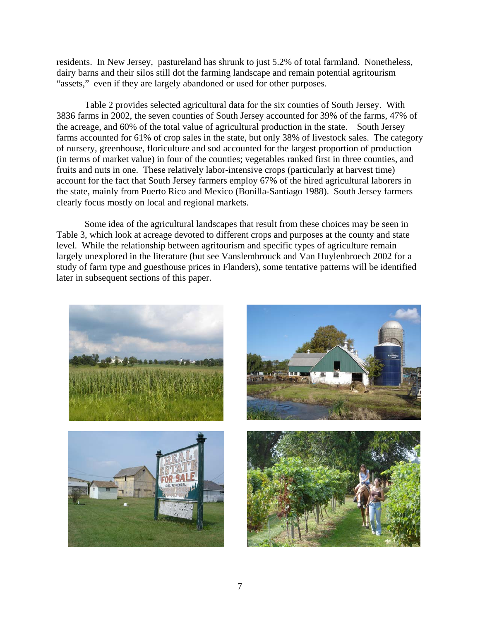residents. In New Jersey, pastureland has shrunk to just 5.2% of total farmland. Nonetheless, dairy barns and their silos still dot the farming landscape and remain potential agritourism "assets," even if they are largely abandoned or used for other purposes.

Table 2 provides selected agricultural data for the six counties of South Jersey. With 3836 farms in 2002, the seven counties of South Jersey accounted for 39% of the farms, 47% of the acreage, and 60% of the total value of agricultural production in the state. South Jersey farms accounted for 61% of crop sales in the state, but only 38% of livestock sales. The category of nursery, greenhouse, floriculture and sod accounted for the largest proportion of production (in terms of market value) in four of the counties; vegetables ranked first in three counties, and fruits and nuts in one. These relatively labor-intensive crops (particularly at harvest time) account for the fact that South Jersey farmers employ 67% of the hired agricultural laborers in the state, mainly from Puerto Rico and Mexico (Bonilla-Santiago 1988). South Jersey farmers clearly focus mostly on local and regional markets.

Some idea of the agricultural landscapes that result from these choices may be seen in Table 3, which look at acreage devoted to different crops and purposes at the county and state level. While the relationship between agritourism and specific types of agriculture remain largely unexplored in the literature (but see Vanslembrouck and Van Huylenbroech 2002 for a study of farm type and guesthouse prices in Flanders), some tentative patterns will be identified later in subsequent sections of this paper.

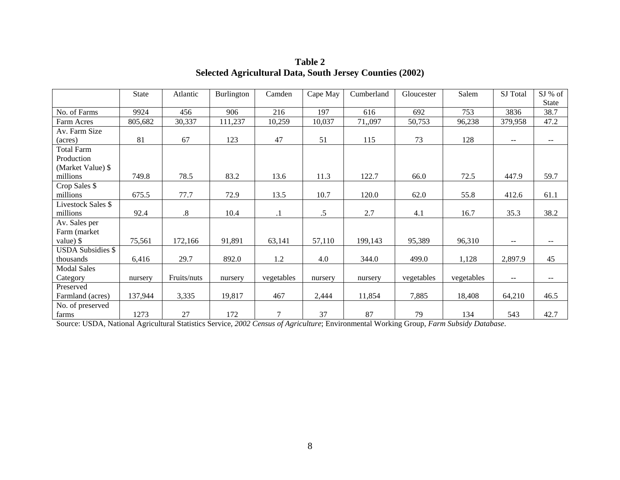|                           | <b>State</b> | Atlantic          | Burlington | Camden     | Cape May | Cumberland | Gloucester | Salem      | SJ Total | $SI%$ of                 |
|---------------------------|--------------|-------------------|------------|------------|----------|------------|------------|------------|----------|--------------------------|
|                           |              |                   |            |            |          |            |            |            |          | State                    |
| No. of Farms              | 9924         | 456               | 906        | 216        | 197      | 616        | 692        | 753        | 3836     | 38.7                     |
| Farm Acres                | 805,682      | 30,337            | 111,237    | 10,259     | 10,037   | 71,,097    | 50,753     | 96,238     | 379,958  | 47.2                     |
| Av. Farm Size             |              |                   |            |            |          |            |            |            |          |                          |
| (acres)                   | 81           | 67                | 123        | 47         | 51       | 115        | 73         | 128        | --       | $\mathbf{u}$             |
| <b>Total Farm</b>         |              |                   |            |            |          |            |            |            |          |                          |
| Production                |              |                   |            |            |          |            |            |            |          |                          |
| (Market Value) \$         |              |                   |            |            |          |            |            |            |          |                          |
| millions                  | 749.8        | 78.5              | 83.2       | 13.6       | 11.3     | 122.7      | 66.0       | 72.5       | 447.9    | 59.7                     |
| Crop Sales \$             |              |                   |            |            |          |            |            |            |          |                          |
| millions                  | 675.5        | 77.7              | 72.9       | 13.5       | 10.7     | 120.0      | 62.0       | 55.8       | 412.6    | 61.1                     |
| <b>Livestock Sales \$</b> |              |                   |            |            |          |            |            |            |          |                          |
| millions                  | 92.4         | $\boldsymbol{.8}$ | 10.4       | $\cdot$    | .5       | 2.7        | 4.1        | 16.7       | 35.3     | 38.2                     |
| Av. Sales per             |              |                   |            |            |          |            |            |            |          |                          |
| Farm (market              |              |                   |            |            |          |            |            |            |          |                          |
| value) \$                 | 75,561       | 172,166           | 91,891     | 63,141     | 57,110   | 199,143    | 95,389     | 96,310     | $- -$    | $\overline{\phantom{m}}$ |
| <b>USDA Subsidies \$</b>  |              |                   |            |            |          |            |            |            |          |                          |
| thousands                 | 6,416        | 29.7              | 892.0      | 1.2        | 4.0      | 344.0      | 499.0      | 1,128      | 2,897.9  | 45                       |
| <b>Modal Sales</b>        |              |                   |            |            |          |            |            |            |          |                          |
| Category                  | nursery      | Fruits/nuts       | nursery    | vegetables | nursery  | nursery    | vegetables | vegetables | $- -$    | $\sim$ $\sim$            |
| Preserved                 |              |                   |            |            |          |            |            |            |          |                          |
| Farmland (acres)          | 137,944      | 3,335             | 19,817     | 467        | 2,444    | 11,854     | 7,885      | 18,408     | 64,210   | 46.5                     |
| No. of preserved          |              |                   |            |            |          |            |            |            |          |                          |
| farms                     | 1273         | 27                | 172        | 7          | 37       | 87         | 79         | 134        | 543      | 42.7                     |

**Table 2 Selected Agricultural Data, South Jersey Counties (2002)** 

Source: USDA, National Agricultural Statistics Service, *2002 Census of Agriculture*; Environmental Working Group, *Farm Subsidy Database*.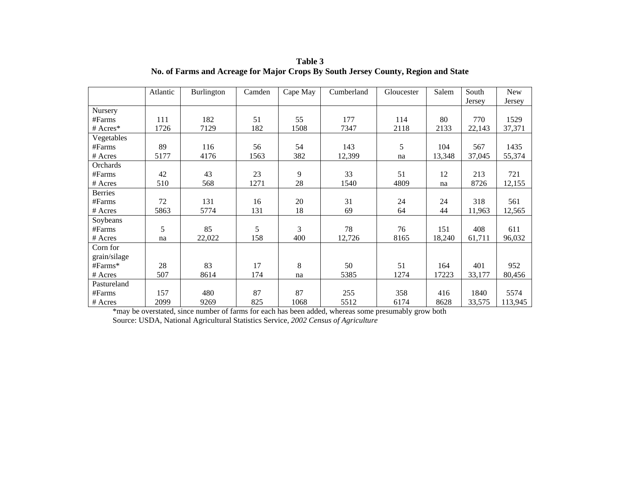|                | Atlantic | Burlington | Camden | Cape May | Cumberland | Gloucester | Salem  | South  | <b>New</b> |
|----------------|----------|------------|--------|----------|------------|------------|--------|--------|------------|
|                |          |            |        |          |            |            |        | Jersey | Jersey     |
| Nursery        |          |            |        |          |            |            |        |        |            |
| #Farms         | 111      | 182        | 51     | 55       | 177        | 114        | 80     | 770    | 1529       |
| # $Acres*$     | 1726     | 7129       | 182    | 1508     | 7347       | 2118       | 2133   | 22,143 | 37,371     |
| Vegetables     |          |            |        |          |            |            |        |        |            |
| #Farms         | 89       | 116        | 56     | 54       | 143        | 5          | 104    | 567    | 1435       |
| # Acres        | 5177     | 4176       | 1563   | 382      | 12,399     | na         | 13,348 | 37,045 | 55,374     |
| Orchards       |          |            |        |          |            |            |        |        |            |
| #Farms         | 42       | 43         | 23     | 9        | 33         | 51         | 12     | 213    | 721        |
| # Acres        | 510      | 568        | 1271   | 28       | 1540       | 4809       | na     | 8726   | 12,155     |
| <b>Berries</b> |          |            |        |          |            |            |        |        |            |
| #Farms         | 72       | 131        | 16     | 20       | 31         | 24         | 24     | 318    | 561        |
| # Acres        | 5863     | 5774       | 131    | 18       | 69         | 64         | 44     | 11,963 | 12,565     |
| Soybeans       |          |            |        |          |            |            |        |        |            |
| #Farms         | 5        | 85         | 5      | 3        | 78         | 76         | 151    | 408    | 611        |
| # Acres        | na       | 22,022     | 158    | 400      | 12,726     | 8165       | 18,240 | 61,711 | 96,032     |
| Corn for       |          |            |        |          |            |            |        |        |            |
| grain/silage   |          |            |        |          |            |            |        |        |            |
| $#Farms*$      | 28       | 83         | 17     | 8        | 50         | 51         | 164    | 401    | 952        |
| # Acres        | 507      | 8614       | 174    | na       | 5385       | 1274       | 17223  | 33,177 | 80,456     |
| Pastureland    |          |            |        |          |            |            |        |        |            |
| #Farms         | 157      | 480        | 87     | 87       | 255        | 358        | 416    | 1840   | 5574       |
| # Acres        | 2099     | 9269       | 825    | 1068     | 5512       | 6174       | 8628   | 33,575 | 113,945    |

**Table 3 No. of Farms and Acreage for Major Crops By South Jersey County, Region and State** 

\*may be overstated, since number of farms for each has been added, whereas some presumably grow both

Source: USDA, National Agricultural Statistics Service, *2002 Census of Agriculture*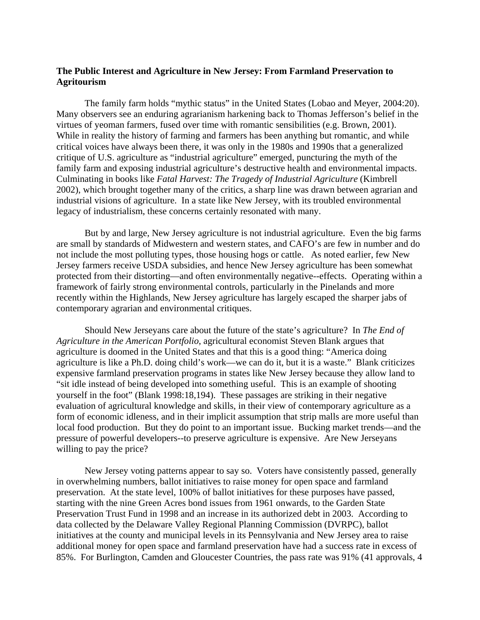## **The Public Interest and Agriculture in New Jersey: From Farmland Preservation to Agritourism**

The family farm holds "mythic status" in the United States (Lobao and Meyer, 2004:20). Many observers see an enduring agrarianism harkening back to Thomas Jefferson's belief in the virtues of yeoman farmers, fused over time with romantic sensibilities (e.g. Brown, 2001). While in reality the history of farming and farmers has been anything but romantic, and while critical voices have always been there, it was only in the 1980s and 1990s that a generalized critique of U.S. agriculture as "industrial agriculture" emerged, puncturing the myth of the family farm and exposing industrial agriculture's destructive health and environmental impacts. Culminating in books like *Fatal Harvest: The Tragedy of Industrial Agriculture* (Kimbrell 2002), which brought together many of the critics, a sharp line was drawn between agrarian and industrial visions of agriculture. In a state like New Jersey, with its troubled environmental legacy of industrialism, these concerns certainly resonated with many.

 But by and large, New Jersey agriculture is not industrial agriculture. Even the big farms are small by standards of Midwestern and western states, and CAFO's are few in number and do not include the most polluting types, those housing hogs or cattle. As noted earlier, few New Jersey farmers receive USDA subsidies, and hence New Jersey agriculture has been somewhat protected from their distorting—and often environmentally negative--effects. Operating within a framework of fairly strong environmental controls, particularly in the Pinelands and more recently within the Highlands, New Jersey agriculture has largely escaped the sharper jabs of contemporary agrarian and environmental critiques.

 Should New Jerseyans care about the future of the state's agriculture? In *The End of Agriculture in the American Portfolio*, agricultural economist Steven Blank argues that agriculture is doomed in the United States and that this is a good thing: "America doing agriculture is like a Ph.D. doing child's work—we can do it, but it is a waste." Blank criticizes expensive farmland preservation programs in states like New Jersey because they allow land to "sit idle instead of being developed into something useful. This is an example of shooting yourself in the foot" (Blank 1998:18,194). These passages are striking in their negative evaluation of agricultural knowledge and skills, in their view of contemporary agriculture as a form of economic idleness, and in their implicit assumption that strip malls are more useful than local food production. But they do point to an important issue. Bucking market trends—and the pressure of powerful developers--to preserve agriculture is expensive. Are New Jerseyans willing to pay the price?

 New Jersey voting patterns appear to say so. Voters have consistently passed, generally in overwhelming numbers, ballot initiatives to raise money for open space and farmland preservation. At the state level, 100% of ballot initiatives for these purposes have passed, starting with the nine Green Acres bond issues from 1961 onwards, to the Garden State Preservation Trust Fund in 1998 and an increase in its authorized debt in 2003. According to data collected by the Delaware Valley Regional Planning Commission (DVRPC), ballot initiatives at the county and municipal levels in its Pennsylvania and New Jersey area to raise additional money for open space and farmland preservation have had a success rate in excess of 85%. For Burlington, Camden and Gloucester Countries, the pass rate was 91% (41 approvals, 4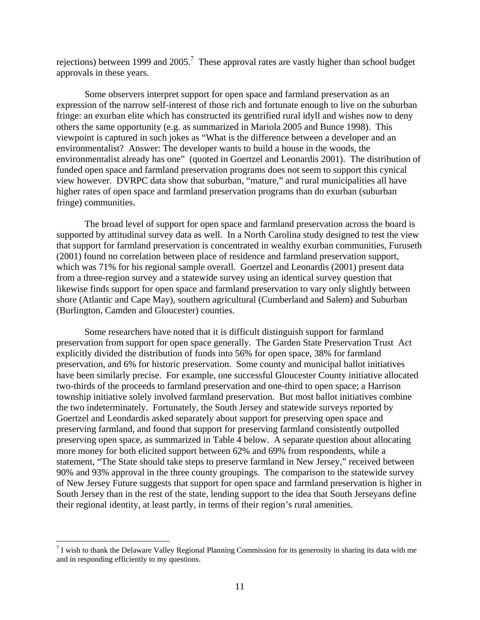rejections) between 1999 and 2005.<sup>[7](#page-11-0)</sup> These approval rates are vastly higher than school budget approvals in these years.

Some observers interpret support for open space and farmland preservation as an expression of the narrow self-interest of those rich and fortunate enough to live on the suburban fringe: an exurban elite which has constructed its gentrified rural idyll and wishes now to deny others the same opportunity (e.g. as summarized in Mariola 2005 and Bunce 1998). This viewpoint is captured in such jokes as "What is the difference between a developer and an environmentalist? Answer: The developer wants to build a house in the woods, the environmentalist already has one" (quoted in Goertzel and Leonardis 2001). The distribution of funded open space and farmland preservation programs does not seem to support this cynical view however. DVRPC data show that suburban, "mature," and rural municipalities all have higher rates of open space and farmland preservation programs than do exurban (suburban fringe) communities.

The broad level of support for open space and farmland preservation across the board is supported by attitudinal survey data as well. In a North Carolina study designed to test the view that support for farmland preservation is concentrated in wealthy exurban communities, Furuseth (2001) found no correlation between place of residence and farmland preservation support, which was 71% for his regional sample overall. Goertzel and Leonardis (2001) present data from a three-region survey and a statewide survey using an identical survey question that likewise finds support for open space and farmland preservation to vary only slightly between shore (Atlantic and Cape May), southern agricultural (Cumberland and Salem) and Suburban (Burlington, Camden and Gloucester) counties.

Some researchers have noted that it is difficult distinguish support for farmland preservation from support for open space generally. The Garden State Preservation Trust Act explicitly divided the distribution of funds into 56% for open space, 38% for farmland preservation, and 6% for historic preservation. Some county and municipal ballot initiatives have been similarly precise. For example, one successful Gloucester County initiative allocated two-thirds of the proceeds to farmland preservation and one-third to open space; a Harrison township initiative solely involved farmland preservation. But most ballot initiatives combine the two indeterminately. Fortunately, the South Jersey and statewide surveys reported by Goertzel and Leondardis asked separately about support for preserving open space and preserving farmland, and found that support for preserving farmland consistently outpolled preserving open space, as summarized in Table 4 below. A separate question about allocating more money for both elicited support between 62% and 69% from respondents, while a statement, "The State should take steps to preserve farmland in New Jersey," received between 90% and 93% approval in the three county groupings. The comparison to the statewide survey of New Jersey Future suggests that support for open space and farmland preservation is higher in South Jersey than in the rest of the state, lending support to the idea that South Jerseyans define their regional identity, at least partly, in terms of their region's rural amenities.

<span id="page-11-0"></span> $<sup>7</sup>$  I wish to thank the Delaware Valley Regional Planning Commission for its generosity in sharing its data with me</sup> and in responding efficiently to my questions.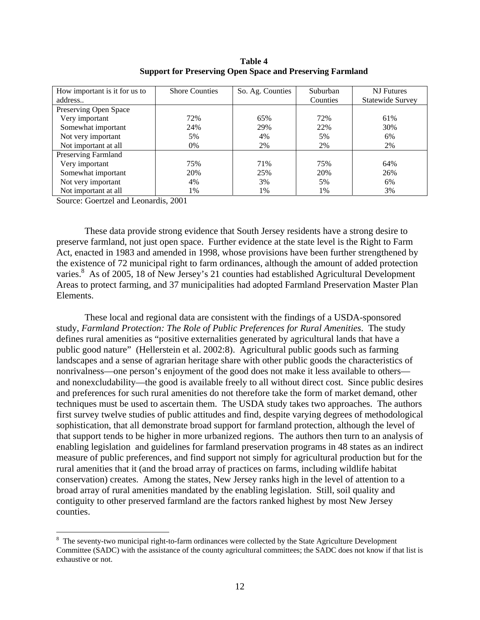| How important is it for us to | <b>Shore Counties</b> | So. Ag. Counties | Suburban | <b>NJ</b> Futures |
|-------------------------------|-----------------------|------------------|----------|-------------------|
| address                       |                       |                  | Counties | Statewide Survey  |
| Preserving Open Space         |                       |                  |          |                   |
| Very important                | 72%                   | 65%              | 72%      | 61%               |
| Somewhat important            | 24%                   | 29%              | 22%      | 30%               |
| Not very important            | 5%                    | 4%               | 5%       | 6%                |
| Not important at all          | 0%                    | 2%               | 2%       | 2%                |
| Preserving Farmland           |                       |                  |          |                   |
| Very important                | 75%                   | 71%              | 75%      | 64%               |
| Somewhat important            | 20%                   | 25%              | 20%      | 26%               |
| Not very important            | 4%                    | 3%               | 5%       | 6%                |
| Not important at all          | 1%                    | 1%               | 1%       | 3%                |

**Table 4 Support for Preserving Open Space and Preserving Farmland**

Source: Goertzel and Leonardis, 2001

 $\overline{a}$ 

These data provide strong evidence that South Jersey residents have a strong desire to preserve farmland, not just open space. Further evidence at the state level is the Right to Farm Act, enacted in 1983 and amended in 1998, whose provisions have been further strengthened by the existence of 72 municipal right to farm ordinances, although the amount of added protection varies.<sup>[8](#page-12-0)</sup> As of 2005, 18 of New Jersey's 21 counties had established Agricultural Development Areas to protect farming, and 37 municipalities had adopted Farmland Preservation Master Plan Elements.

These local and regional data are consistent with the findings of a USDA-sponsored study, *Farmland Protection: The Role of Public Preferences for Rural Amenities*. The study defines rural amenities as "positive externalities generated by agricultural lands that have a public good nature" (Hellerstein et al. 2002:8). Agricultural public goods such as farming landscapes and a sense of agrarian heritage share with other public goods the characteristics of nonrivalness—one person's enjoyment of the good does not make it less available to others and nonexcludability—the good is available freely to all without direct cost. Since public desires and preferences for such rural amenities do not therefore take the form of market demand, other techniques must be used to ascertain them. The USDA study takes two approaches. The authors first survey twelve studies of public attitudes and find, despite varying degrees of methodological sophistication, that all demonstrate broad support for farmland protection, although the level of that support tends to be higher in more urbanized regions. The authors then turn to an analysis of enabling legislation and guidelines for farmland preservation programs in 48 states as an indirect measure of public preferences, and find support not simply for agricultural production but for the rural amenities that it (and the broad array of practices on farms, including wildlife habitat conservation) creates. Among the states, New Jersey ranks high in the level of attention to a broad array of rural amenities mandated by the enabling legislation. Still, soil quality and contiguity to other preserved farmland are the factors ranked highest by most New Jersey counties.

<span id="page-12-0"></span> $8$  The seventy-two municipal right-to-farm ordinances were collected by the State Agriculture Development Committee (SADC) with the assistance of the county agricultural committees; the SADC does not know if that list is exhaustive or not.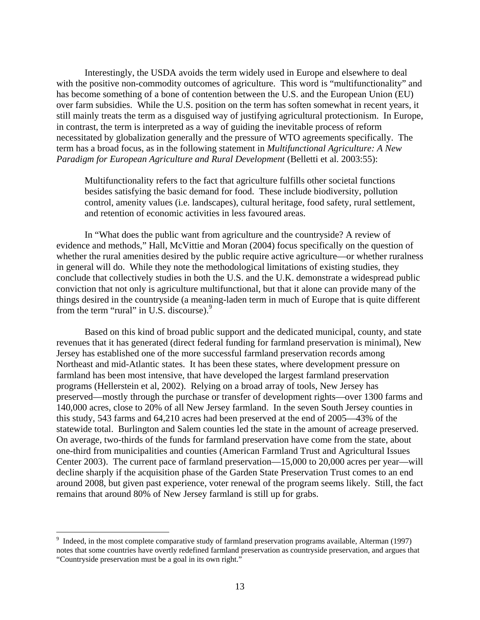Interestingly, the USDA avoids the term widely used in Europe and elsewhere to deal with the positive non-commodity outcomes of agriculture. This word is "multifunctionality" and has become something of a bone of contention between the U.S. and the European Union (EU) over farm subsidies. While the U.S. position on the term has soften somewhat in recent years, it still mainly treats the term as a disguised way of justifying agricultural protectionism. In Europe, in contrast, the term is interpreted as a way of guiding the inevitable process of reform necessitated by globalization generally and the pressure of WTO agreements specifically. The term has a broad focus, as in the following statement in *Multifunctional Agriculture: A New Paradigm for European Agriculture and Rural Development* (Belletti et al. 2003:55):

Multifunctionality refers to the fact that agriculture fulfills other societal functions besides satisfying the basic demand for food. These include biodiversity, pollution control, amenity values (i.e. landscapes), cultural heritage, food safety, rural settlement, and retention of economic activities in less favoured areas.

In "What does the public want from agriculture and the countryside? A review of evidence and methods," Hall, McVittie and Moran (2004) focus specifically on the question of whether the rural amenities desired by the public require active agriculture—or whether ruralness in general will do. While they note the methodological limitations of existing studies, they conclude that collectively studies in both the U.S. and the U.K. demonstrate a widespread public conviction that not only is agriculture multifunctional, but that it alone can provide many of the things desired in the countryside (a meaning-laden term in much of Europe that is quite different from the term "rural" in U.S. discourse).<sup>9</sup>

Based on this kind of broad public support and the dedicated municipal, county, and state revenues that it has generated (direct federal funding for farmland preservation is minimal), New Jersey has established one of the more successful farmland preservation records among Northeast and mid-Atlantic states. It has been these states, where development pressure on farmland has been most intensive, that have developed the largest farmland preservation programs (Hellerstein et al, 2002). Relying on a broad array of tools, New Jersey has preserved—mostly through the purchase or transfer of development rights—over 1300 farms and 140,000 acres, close to 20% of all New Jersey farmland. In the seven South Jersey counties in this study, 543 farms and 64,210 acres had been preserved at the end of 2005—43% of the statewide total. Burlington and Salem counties led the state in the amount of acreage preserved. On average, two-thirds of the funds for farmland preservation have come from the state, about one-third from municipalities and counties (American Farmland Trust and Agricultural Issues Center 2003). The current pace of farmland preservation—15,000 to 20,000 acres per year—will decline sharply if the acquisition phase of the Garden State Preservation Trust comes to an end around 2008, but given past experience, voter renewal of the program seems likely. Still, the fact remains that around 80% of New Jersey farmland is still up for grabs.

<span id="page-13-0"></span><sup>&</sup>lt;sup>9</sup> Indeed, in the most complete comparative study of farmland preservation programs available, Alterman (1997) notes that some countries have overtly redefined farmland preservation as countryside preservation, and argues that "Countryside preservation must be a goal in its own right."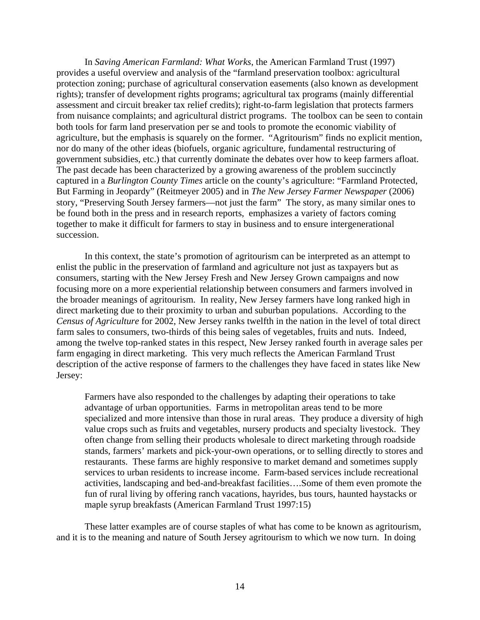In *Saving American Farmland: What Works*, the American Farmland Trust (1997) provides a useful overview and analysis of the "farmland preservation toolbox: agricultural protection zoning; purchase of agricultural conservation easements (also known as development rights); transfer of development rights programs; agricultural tax programs (mainly differential assessment and circuit breaker tax relief credits); right-to-farm legislation that protects farmers from nuisance complaints; and agricultural district programs. The toolbox can be seen to contain both tools for farm land preservation per se and tools to promote the economic viability of agriculture, but the emphasis is squarely on the former. "Agritourism" finds no explicit mention, nor do many of the other ideas (biofuels, organic agriculture, fundamental restructuring of government subsidies, etc.) that currently dominate the debates over how to keep farmers afloat. The past decade has been characterized by a growing awareness of the problem succinctly captured in a *Burlington County Times* article on the county's agriculture: "Farmland Protected, But Farming in Jeopardy" (Reitmeyer 2005) and in *The New Jersey Farmer Newspaper* (2006) story, "Preserving South Jersey farmers—not just the farm" The story, as many similar ones to be found both in the press and in research reports, emphasizes a variety of factors coming together to make it difficult for farmers to stay in business and to ensure intergenerational succession.

In this context, the state's promotion of agritourism can be interpreted as an attempt to enlist the public in the preservation of farmland and agriculture not just as taxpayers but as consumers, starting with the New Jersey Fresh and New Jersey Grown campaigns and now focusing more on a more experiential relationship between consumers and farmers involved in the broader meanings of agritourism. In reality, New Jersey farmers have long ranked high in direct marketing due to their proximity to urban and suburban populations. According to the *Census of Agriculture* for 2002, New Jersey ranks twelfth in the nation in the level of total direct farm sales to consumers, two-thirds of this being sales of vegetables, fruits and nuts. Indeed, among the twelve top-ranked states in this respect, New Jersey ranked fourth in average sales per farm engaging in direct marketing. This very much reflects the American Farmland Trust description of the active response of farmers to the challenges they have faced in states like New Jersey:

Farmers have also responded to the challenges by adapting their operations to take advantage of urban opportunities. Farms in metropolitan areas tend to be more specialized and more intensive than those in rural areas. They produce a diversity of high value crops such as fruits and vegetables, nursery products and specialty livestock. They often change from selling their products wholesale to direct marketing through roadside stands, farmers' markets and pick-your-own operations, or to selling directly to stores and restaurants. These farms are highly responsive to market demand and sometimes supply services to urban residents to increase income. Farm-based services include recreational activities, landscaping and bed-and-breakfast facilities….Some of them even promote the fun of rural living by offering ranch vacations, hayrides, bus tours, haunted haystacks or maple syrup breakfasts (American Farmland Trust 1997:15)

These latter examples are of course staples of what has come to be known as agritourism, and it is to the meaning and nature of South Jersey agritourism to which we now turn. In doing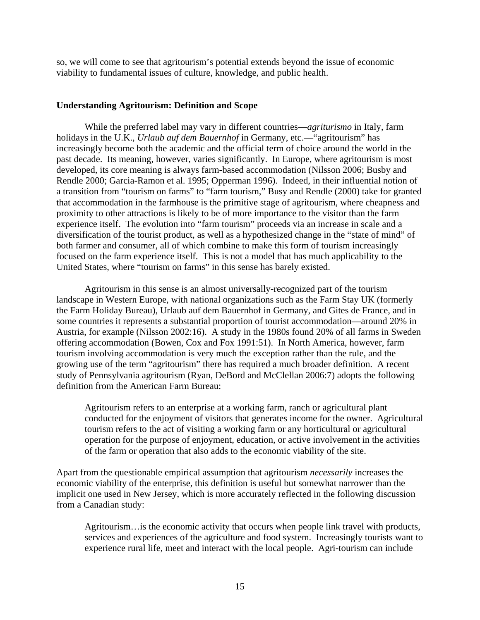so, we will come to see that agritourism's potential extends beyond the issue of economic viability to fundamental issues of culture, knowledge, and public health.

#### **Understanding Agritourism: Definition and Scope**

While the preferred label may vary in different countries—*agriturismo* in Italy, farm holidays in the U.K., *Urlaub auf dem Bauernhof* in Germany, etc.—"agritourism" has increasingly become both the academic and the official term of choice around the world in the past decade. Its meaning, however, varies significantly. In Europe, where agritourism is most developed, its core meaning is always farm-based accommodation (Nilsson 2006; Busby and Rendle 2000; Garcia-Ramon et al. 1995; Opperman 1996). Indeed, in their influential notion of a transition from "tourism on farms" to "farm tourism," Busy and Rendle (2000) take for granted that accommodation in the farmhouse is the primitive stage of agritourism, where cheapness and proximity to other attractions is likely to be of more importance to the visitor than the farm experience itself. The evolution into "farm tourism" proceeds via an increase in scale and a diversification of the tourist product, as well as a hypothesized change in the "state of mind" of both farmer and consumer, all of which combine to make this form of tourism increasingly focused on the farm experience itself. This is not a model that has much applicability to the United States, where "tourism on farms" in this sense has barely existed.

Agritourism in this sense is an almost universally-recognized part of the tourism landscape in Western Europe, with national organizations such as the Farm Stay UK (formerly the Farm Holiday Bureau), Urlaub auf dem Bauernhof in Germany, and Gites de France, and in some countries it represents a substantial proportion of tourist accommodation—around 20% in Austria, for example (Nilsson 2002:16). A study in the 1980s found 20% of all farms in Sweden offering accommodation (Bowen, Cox and Fox 1991:51). In North America, however, farm tourism involving accommodation is very much the exception rather than the rule, and the growing use of the term "agritourism" there has required a much broader definition. A recent study of Pennsylvania agritourism (Ryan, DeBord and McClellan 2006:7) adopts the following definition from the American Farm Bureau:

Agritourism refers to an enterprise at a working farm, ranch or agricultural plant conducted for the enjoyment of visitors that generates income for the owner. Agricultural tourism refers to the act of visiting a working farm or any horticultural or agricultural operation for the purpose of enjoyment, education, or active involvement in the activities of the farm or operation that also adds to the economic viability of the site.

Apart from the questionable empirical assumption that agritourism *necessarily* increases the economic viability of the enterprise, this definition is useful but somewhat narrower than the implicit one used in New Jersey, which is more accurately reflected in the following discussion from a Canadian study:

Agritourism…is the economic activity that occurs when people link travel with products, services and experiences of the agriculture and food system. Increasingly tourists want to experience rural life, meet and interact with the local people. Agri-tourism can include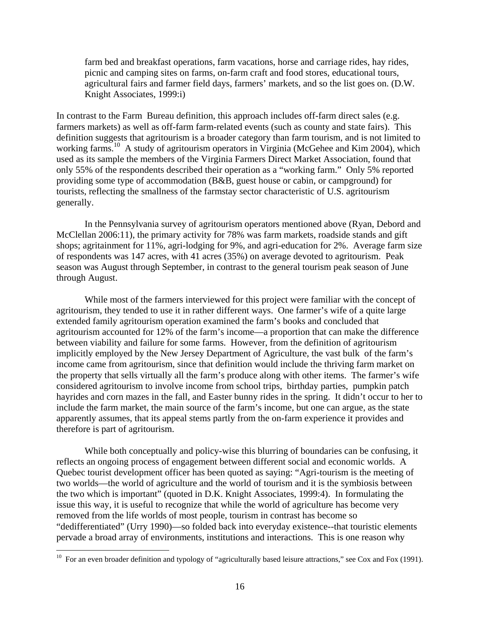farm bed and breakfast operations, farm vacations, horse and carriage rides, hay rides, picnic and camping sites on farms, on-farm craft and food stores, educational tours, agricultural fairs and farmer field days, farmers' markets, and so the list goes on. (D.W. Knight Associates, 1999:i)

In contrast to the Farm Bureau definition, this approach includes off-farm direct sales (e.g. farmers markets) as well as off-farm farm-related events (such as county and state fairs). This definition suggests that agritourism is a broader category than farm tourism, and is not limited to working farms.<sup>10</sup> A study of agritourism operators in Virginia (McGehee and Kim 2004), which used as its sample the members of the Virginia Farmers Direct Market Association, found that only 55% of the respondents described their operation as a "working farm." Only 5% reported providing some type of accommodation (B&B, guest house or cabin, or campground) for tourists, reflecting the smallness of the farmstay sector characteristic of U.S. agritourism generally.

In the Pennsylvania survey of agritourism operators mentioned above (Ryan, Debord and McClellan 2006:11), the primary activity for 78% was farm markets, roadside stands and gift shops; agritainment for 11%, agri-lodging for 9%, and agri-education for 2%. Average farm size of respondents was 147 acres, with 41 acres (35%) on average devoted to agritourism. Peak season was August through September, in contrast to the general tourism peak season of June through August.

While most of the farmers interviewed for this project were familiar with the concept of agritourism, they tended to use it in rather different ways. One farmer's wife of a quite large extended family agritourism operation examined the farm's books and concluded that agritourism accounted for 12% of the farm's income—a proportion that can make the difference between viability and failure for some farms. However, from the definition of agritourism implicitly employed by the New Jersey Department of Agriculture, the vast bulk of the farm's income came from agritourism, since that definition would include the thriving farm market on the property that sells virtually all the farm's produce along with other items. The farmer's wife considered agritourism to involve income from school trips, birthday parties, pumpkin patch hayrides and corn mazes in the fall, and Easter bunny rides in the spring. It didn't occur to her to include the farm market, the main source of the farm's income, but one can argue, as the state apparently assumes, that its appeal stems partly from the on-farm experience it provides and therefore is part of agritourism.

While both conceptually and policy-wise this blurring of boundaries can be confusing, it reflects an ongoing process of engagement between different social and economic worlds. A Quebec tourist development officer has been quoted as saying: "Agri-tourism is the meeting of two worlds—the world of agriculture and the world of tourism and it is the symbiosis between the two which is important" (quoted in D.K. Knight Associates, 1999:4). In formulating the issue this way, it is useful to recognize that while the world of agriculture has become very removed from the life worlds of most people, tourism in contrast has become so "dedifferentiated" (Urry 1990)—so folded back into everyday existence--that touristic elements pervade a broad array of environments, institutions and interactions. This is one reason why

<span id="page-16-0"></span><sup>&</sup>lt;sup>10</sup> For an even broader definition and typology of "agriculturally based leisure attractions," see Cox and Fox (1991).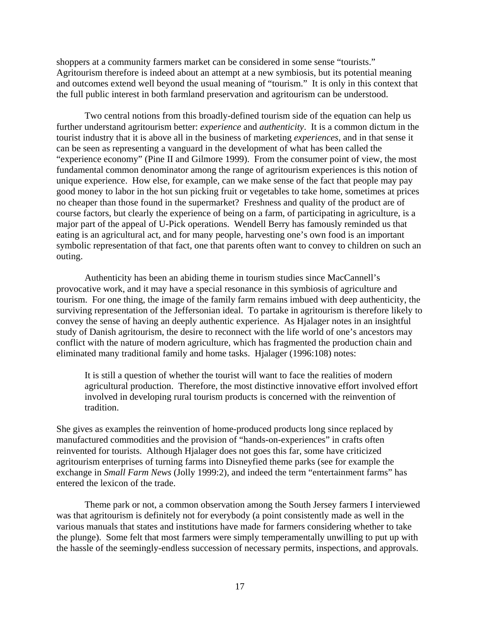shoppers at a community farmers market can be considered in some sense "tourists." Agritourism therefore is indeed about an attempt at a new symbiosis, but its potential meaning and outcomes extend well beyond the usual meaning of "tourism." It is only in this context that the full public interest in both farmland preservation and agritourism can be understood.

Two central notions from this broadly-defined tourism side of the equation can help us further understand agritourism better: *experience* and *authenticity*. It is a common dictum in the tourist industry that it is above all in the business of marketing *experiences*, and in that sense it can be seen as representing a vanguard in the development of what has been called the "experience economy" (Pine II and Gilmore 1999). From the consumer point of view, the most fundamental common denominator among the range of agritourism experiences is this notion of unique experience. How else, for example, can we make sense of the fact that people may pay good money to labor in the hot sun picking fruit or vegetables to take home, sometimes at prices no cheaper than those found in the supermarket? Freshness and quality of the product are of course factors, but clearly the experience of being on a farm, of participating in agriculture, is a major part of the appeal of U-Pick operations. Wendell Berry has famously reminded us that eating is an agricultural act, and for many people, harvesting one's own food is an important symbolic representation of that fact, one that parents often want to convey to children on such an outing.

Authenticity has been an abiding theme in tourism studies since MacCannell's provocative work, and it may have a special resonance in this symbiosis of agriculture and tourism. For one thing, the image of the family farm remains imbued with deep authenticity, the surviving representation of the Jeffersonian ideal. To partake in agritourism is therefore likely to convey the sense of having an deeply authentic experience. As Hjalager notes in an insightful study of Danish agritourism, the desire to reconnect with the life world of one's ancestors may conflict with the nature of modern agriculture, which has fragmented the production chain and eliminated many traditional family and home tasks. Hjalager (1996:108) notes:

It is still a question of whether the tourist will want to face the realities of modern agricultural production. Therefore, the most distinctive innovative effort involved effort involved in developing rural tourism products is concerned with the reinvention of tradition.

She gives as examples the reinvention of home-produced products long since replaced by manufactured commodities and the provision of "hands-on-experiences" in crafts often reinvented for tourists. Although Hjalager does not goes this far, some have criticized agritourism enterprises of turning farms into Disneyfied theme parks (see for example the exchange in *Small Farm News* (Jolly 1999:2), and indeed the term "entertainment farms" has entered the lexicon of the trade.

Theme park or not, a common observation among the South Jersey farmers I interviewed was that agritourism is definitely not for everybody (a point consistently made as well in the various manuals that states and institutions have made for farmers considering whether to take the plunge). Some felt that most farmers were simply temperamentally unwilling to put up with the hassle of the seemingly-endless succession of necessary permits, inspections, and approvals.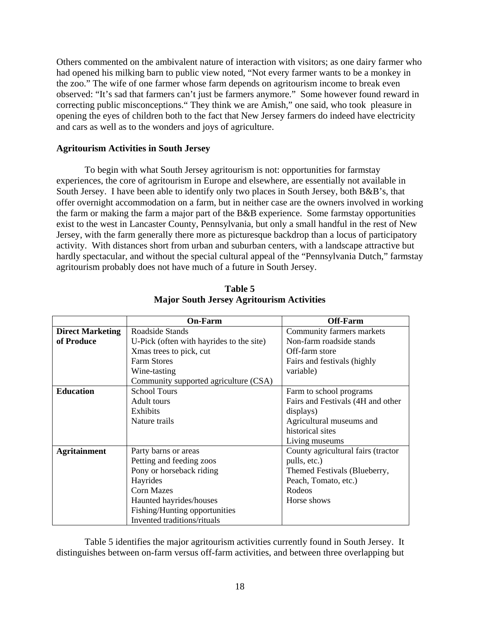Others commented on the ambivalent nature of interaction with visitors; as one dairy farmer who had opened his milking barn to public view noted, "Not every farmer wants to be a monkey in the zoo." The wife of one farmer whose farm depends on agritourism income to break even observed: "It's sad that farmers can't just be farmers anymore." Some however found reward in correcting public misconceptions." They think we are Amish," one said, who took pleasure in opening the eyes of children both to the fact that New Jersey farmers do indeed have electricity and cars as well as to the wonders and joys of agriculture.

## **Agritourism Activities in South Jersey**

To begin with what South Jersey agritourism is not: opportunities for farmstay experiences, the core of agritourism in Europe and elsewhere, are essentially not available in South Jersey. I have been able to identify only two places in South Jersey, both B&B's, that offer overnight accommodation on a farm, but in neither case are the owners involved in working the farm or making the farm a major part of the B&B experience. Some farmstay opportunities exist to the west in Lancaster County, Pennsylvania, but only a small handful in the rest of New Jersey, with the farm generally there more as picturesque backdrop than a locus of participatory activity. With distances short from urban and suburban centers, with a landscape attractive but hardly spectacular, and without the special cultural appeal of the "Pennsylvania Dutch," farmstay agritourism probably does not have much of a future in South Jersey.

|                         | <b>On-Farm</b>                           | <b>Off-Farm</b>                    |
|-------------------------|------------------------------------------|------------------------------------|
| <b>Direct Marketing</b> | Roadside Stands                          | Community farmers markets          |
| of Produce              | U-Pick (often with hayrides to the site) | Non-farm roadside stands           |
|                         | Xmas trees to pick, cut                  | Off-farm store                     |
|                         | <b>Farm Stores</b>                       | Fairs and festivals (highly        |
|                         | Wine-tasting                             | variable)                          |
|                         | Community supported agriculture (CSA)    |                                    |
| <b>Education</b>        | <b>School Tours</b>                      | Farm to school programs            |
|                         | Adult tours                              | Fairs and Festivals (4H and other  |
|                         | Exhibits                                 | displays)                          |
|                         | Nature trails                            | Agricultural museums and           |
|                         |                                          | historical sites                   |
|                         |                                          | Living museums                     |
| <b>Agritainment</b>     | Party barns or areas                     | County agricultural fairs (tractor |
|                         | Petting and feeding zoos                 | pulls, etc.)                       |
|                         | Pony or horseback riding                 | Themed Festivals (Blueberry,       |
|                         | Hayrides                                 | Peach, Tomato, etc.)               |
|                         | Corn Mazes                               | Rodeos                             |
|                         | Haunted hayrides/houses                  | Horse shows                        |
|                         | Fishing/Hunting opportunities            |                                    |
|                         | Invented traditions/rituals              |                                    |

**Table 5 Major South Jersey Agritourism Activities**

Table 5 identifies the major agritourism activities currently found in South Jersey. It distinguishes between on-farm versus off-farm activities, and between three overlapping but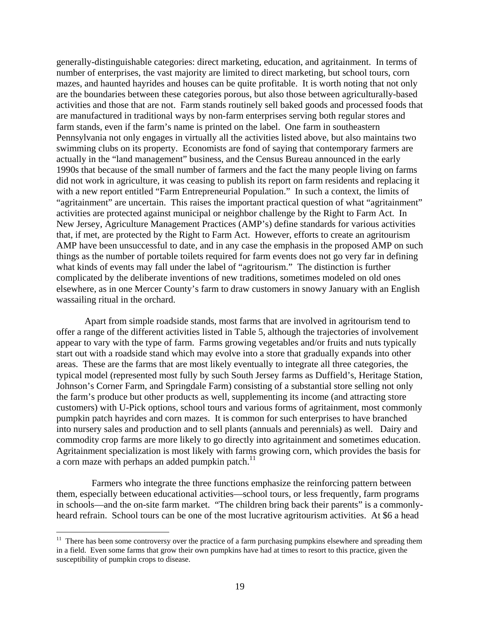generally-distinguishable categories: direct marketing, education, and agritainment. In terms of number of enterprises, the vast majority are limited to direct marketing, but school tours, corn mazes, and haunted hayrides and houses can be quite profitable. It is worth noting that not only are the boundaries between these categories porous, but also those between agriculturally-based activities and those that are not. Farm stands routinely sell baked goods and processed foods that are manufactured in traditional ways by non-farm enterprises serving both regular stores and farm stands, even if the farm's name is printed on the label. One farm in southeastern Pennsylvania not only engages in virtually all the activities listed above, but also maintains two swimming clubs on its property. Economists are fond of saying that contemporary farmers are actually in the "land management" business, and the Census Bureau announced in the early 1990s that because of the small number of farmers and the fact the many people living on farms did not work in agriculture, it was ceasing to publish its report on farm residents and replacing it with a new report entitled "Farm Entrepreneurial Population." In such a context, the limits of "agritainment" are uncertain. This raises the important practical question of what "agritainment" activities are protected against municipal or neighbor challenge by the Right to Farm Act. In New Jersey, Agriculture Management Practices (AMP's) define standards for various activities that, if met, are protected by the Right to Farm Act. However, efforts to create an agritourism AMP have been unsuccessful to date, and in any case the emphasis in the proposed AMP on such things as the number of portable toilets required for farm events does not go very far in defining what kinds of events may fall under the label of "agritourism." The distinction is further complicated by the deliberate inventions of new traditions, sometimes modeled on old ones elsewhere, as in one Mercer County's farm to draw customers in snowy January with an English wassailing ritual in the orchard.

Apart from simple roadside stands, most farms that are involved in agritourism tend to offer a range of the different activities listed in Table 5, although the trajectories of involvement appear to vary with the type of farm. Farms growing vegetables and/or fruits and nuts typically start out with a roadside stand which may evolve into a store that gradually expands into other areas. These are the farms that are most likely eventually to integrate all three categories, the typical model (represented most fully by such South Jersey farms as Duffield's, Heritage Station, Johnson's Corner Farm, and Springdale Farm) consisting of a substantial store selling not only the farm's produce but other products as well, supplementing its income (and attracting store customers) with U-Pick options, school tours and various forms of agritainment, most commonly pumpkin patch hayrides and corn mazes. It is common for such enterprises to have branched into nursery sales and production and to sell plants (annuals and perennials) as well. Dairy and commodity crop farms are more likely to go directly into agritainment and sometimes education. Agritainment specialization is most likely with farms growing corn, which provides the basis for a corn maze with perhaps an added pumpkin patch.<sup>[11](#page-19-0)</sup>

 Farmers who integrate the three functions emphasize the reinforcing pattern between them, especially between educational activities—school tours, or less frequently, farm programs in schools—and the on-site farm market. "The children bring back their parents" is a commonlyheard refrain. School tours can be one of the most lucrative agritourism activities. At \$6 a head

<span id="page-19-0"></span><sup>&</sup>lt;sup>11</sup> There has been some controversy over the practice of a farm purchasing pumpkins elsewhere and spreading them in a field. Even some farms that grow their own pumpkins have had at times to resort to this practice, given the susceptibility of pumpkin crops to disease.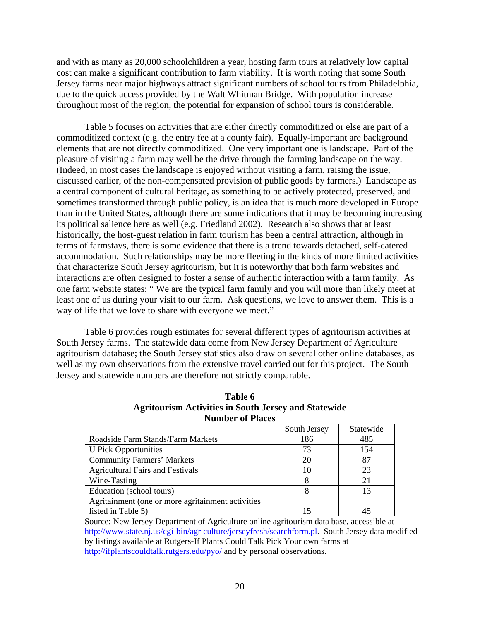and with as many as 20,000 schoolchildren a year, hosting farm tours at relatively low capital cost can make a significant contribution to farm viability. It is worth noting that some South Jersey farms near major highways attract significant numbers of school tours from Philadelphia, due to the quick access provided by the Walt Whitman Bridge. With population increase throughout most of the region, the potential for expansion of school tours is considerable.

Table 5 focuses on activities that are either directly commoditized or else are part of a commoditized context (e.g. the entry fee at a county fair). Equally-important are background elements that are not directly commoditized. One very important one is landscape. Part of the pleasure of visiting a farm may well be the drive through the farming landscape on the way. (Indeed, in most cases the landscape is enjoyed without visiting a farm, raising the issue, discussed earlier, of the non-compensated provision of public goods by farmers.) Landscape as a central component of cultural heritage, as something to be actively protected, preserved, and sometimes transformed through public policy, is an idea that is much more developed in Europe than in the United States, although there are some indications that it may be becoming increasing its political salience here as well (e.g. Friedland 2002). Research also shows that at least historically, the host-guest relation in farm tourism has been a central attraction, although in terms of farmstays, there is some evidence that there is a trend towards detached, self-catered accommodation. Such relationships may be more fleeting in the kinds of more limited activities that characterize South Jersey agritourism, but it is noteworthy that both farm websites and interactions are often designed to foster a sense of authentic interaction with a farm family. As one farm website states: " We are the typical farm family and you will more than likely meet at least one of us during your visit to our farm. Ask questions, we love to answer them. This is a way of life that we love to share with everyone we meet."

Table 6 provides rough estimates for several different types of agritourism activities at South Jersey farms. The statewide data come from New Jersey Department of Agriculture agritourism database; the South Jersey statistics also draw on several other online databases, as well as my own observations from the extensive travel carried out for this project. The South Jersey and statewide numbers are therefore not strictly comparable.

| INUIHDET OI FIACES                                 |              |           |  |  |  |
|----------------------------------------------------|--------------|-----------|--|--|--|
|                                                    | South Jersey | Statewide |  |  |  |
| Roadside Farm Stands/Farm Markets                  | 186          | 485       |  |  |  |
| <b>U</b> Pick Opportunities                        | 73           | 154       |  |  |  |
| <b>Community Farmers' Markets</b>                  | 20           | 87        |  |  |  |
| <b>Agricultural Fairs and Festivals</b>            | 10           | 23        |  |  |  |
| Wine-Tasting                                       |              | 21        |  |  |  |
| Education (school tours)                           |              | 13        |  |  |  |
| Agritainment (one or more agritainment activities) |              |           |  |  |  |
| listed in Table 5)                                 |              |           |  |  |  |

**Table 6 Agritourism Activities in South Jersey and Statewide Number of Places**

Source: New Jersey Department of Agriculture online agritourism data base, accessible at [http://www.state.nj.us/cgi-bin/agriculture/jerseyfresh/searchform.pl.](http://www.state.nj.us/cgi-bin/agriculture/jerseyfresh/searchform.pl) South Jersey data modified by listings available at Rutgers-If Plants Could Talk Pick Your own farms at <http://ifplantscouldtalk.rutgers.edu/pyo/> and by personal observations.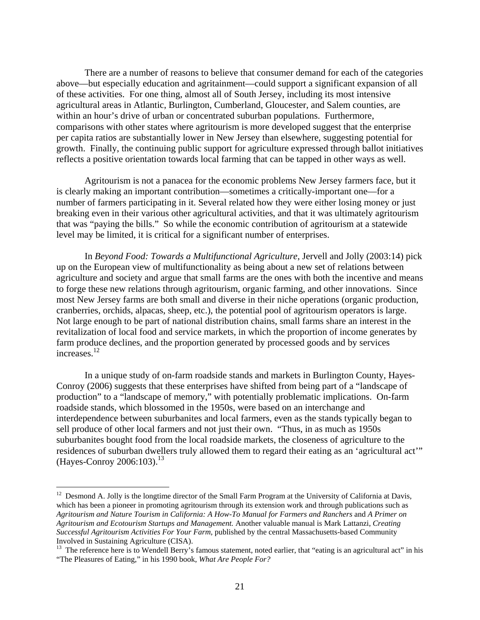There are a number of reasons to believe that consumer demand for each of the categories above—but especially education and agritainment—could support a significant expansion of all of these activities. For one thing, almost all of South Jersey, including its most intensive agricultural areas in Atlantic, Burlington, Cumberland, Gloucester, and Salem counties, are within an hour's drive of urban or concentrated suburban populations. Furthermore, comparisons with other states where agritourism is more developed suggest that the enterprise per capita ratios are substantially lower in New Jersey than elsewhere, suggesting potential for growth. Finally, the continuing public support for agriculture expressed through ballot initiatives reflects a positive orientation towards local farming that can be tapped in other ways as well.

Agritourism is not a panacea for the economic problems New Jersey farmers face, but it is clearly making an important contribution—sometimes a critically-important one—for a number of farmers participating in it. Several related how they were either losing money or just breaking even in their various other agricultural activities, and that it was ultimately agritourism that was "paying the bills." So while the economic contribution of agritourism at a statewide level may be limited, it is critical for a significant number of enterprises.

 In *Beyond Food: Towards a Multifunctional Agriculture*, Jervell and Jolly (2003:14) pick up on the European view of multifunctionality as being about a new set of relations between agriculture and society and argue that small farms are the ones with both the incentive and means to forge these new relations through agritourism, organic farming, and other innovations. Since most New Jersey farms are both small and diverse in their niche operations (organic production, cranberries, orchids, alpacas, sheep, etc.), the potential pool of agritourism operators is large. Not large enough to be part of national distribution chains, small farms share an interest in the revitalization of local food and service markets, in which the proportion of income generates by farm produce declines, and the proportion generated by processed goods and by services increases.<sup>12</sup>

In a unique study of on-farm roadside stands and markets in Burlington County, Hayes-Conroy (2006) suggests that these enterprises have shifted from being part of a "landscape of production" to a "landscape of memory," with potentially problematic implications. On-farm roadside stands, which blossomed in the 1950s, were based on an interchange and interdependence between suburbanites and local farmers, even as the stands typically began to sell produce of other local farmers and not just their own. "Thus, in as much as 1950s suburbanites bought food from the local roadside markets, the closeness of agriculture to the residences of suburban dwellers truly allowed them to regard their eating as an 'agricultural act'"  $(Haves-Conv 2006:103).$ <sup>[13](#page-21-1)</sup>

<span id="page-21-0"></span><sup>&</sup>lt;sup>12</sup> Desmond A. Jolly is the longtime director of the Small Farm Program at the University of California at Davis, which has been a pioneer in promoting agritourism through its extension work and through publications such as *Agritourism and Nature Tourism in California: A How-To Manual for Farmers and Ranchers* and *A Primer on Agritourism and Ecotourism Startups and Management.* Another valuable manual is Mark Lattanzi, *Creating Successful Agritourism Activities For Your Farm*, published by the central Massachusetts-based Community Involved in Sustaining Agriculture (CISA).<br><sup>13</sup> The reference here is to Wendell Berry's famous statement, noted earlier, that "eating is an agricultural act" in his

<span id="page-21-1"></span><sup>&</sup>quot;The Pleasures of Eating," in his 1990 book, *What Are People For?*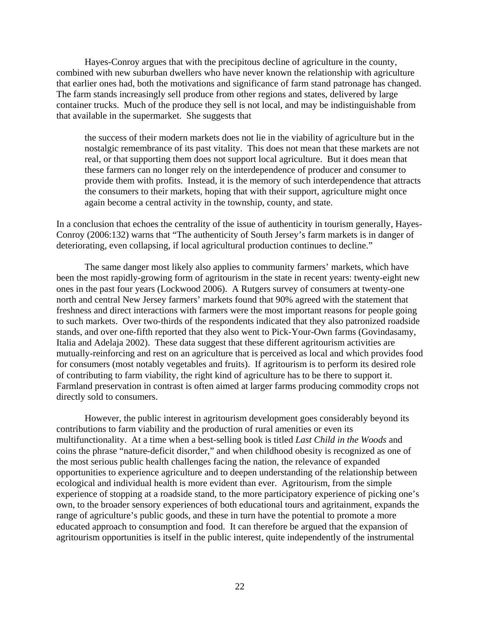Hayes-Conroy argues that with the precipitous decline of agriculture in the county, combined with new suburban dwellers who have never known the relationship with agriculture that earlier ones had, both the motivations and significance of farm stand patronage has changed. The farm stands increasingly sell produce from other regions and states, delivered by large container trucks. Much of the produce they sell is not local, and may be indistinguishable from that available in the supermarket. She suggests that

the success of their modern markets does not lie in the viability of agriculture but in the nostalgic remembrance of its past vitality. This does not mean that these markets are not real, or that supporting them does not support local agriculture. But it does mean that these farmers can no longer rely on the interdependence of producer and consumer to provide them with profits. Instead, it is the memory of such interdependence that attracts the consumers to their markets, hoping that with their support, agriculture might once again become a central activity in the township, county, and state.

In a conclusion that echoes the centrality of the issue of authenticity in tourism generally, Hayes-Conroy (2006:132) warns that "The authenticity of South Jersey's farm markets is in danger of deteriorating, even collapsing, if local agricultural production continues to decline."

The same danger most likely also applies to community farmers' markets, which have been the most rapidly-growing form of agritourism in the state in recent years: twenty-eight new ones in the past four years (Lockwood 2006). A Rutgers survey of consumers at twenty-one north and central New Jersey farmers' markets found that 90% agreed with the statement that freshness and direct interactions with farmers were the most important reasons for people going to such markets. Over two-thirds of the respondents indicated that they also patronized roadside stands, and over one-fifth reported that they also went to Pick-Your-Own farms (Govindasamy, Italia and Adelaja 2002). These data suggest that these different agritourism activities are mutually-reinforcing and rest on an agriculture that is perceived as local and which provides food for consumers (most notably vegetables and fruits). If agritourism is to perform its desired role of contributing to farm viability, the right kind of agriculture has to be there to support it. Farmland preservation in contrast is often aimed at larger farms producing commodity crops not directly sold to consumers.

However, the public interest in agritourism development goes considerably beyond its contributions to farm viability and the production of rural amenities or even its multifunctionality. At a time when a best-selling book is titled *Last Child in the Woods* and coins the phrase "nature-deficit disorder," and when childhood obesity is recognized as one of the most serious public health challenges facing the nation, the relevance of expanded opportunities to experience agriculture and to deepen understanding of the relationship between ecological and individual health is more evident than ever. Agritourism, from the simple experience of stopping at a roadside stand, to the more participatory experience of picking one's own, to the broader sensory experiences of both educational tours and agritainment, expands the range of agriculture's public goods, and these in turn have the potential to promote a more educated approach to consumption and food. It can therefore be argued that the expansion of agritourism opportunities is itself in the public interest, quite independently of the instrumental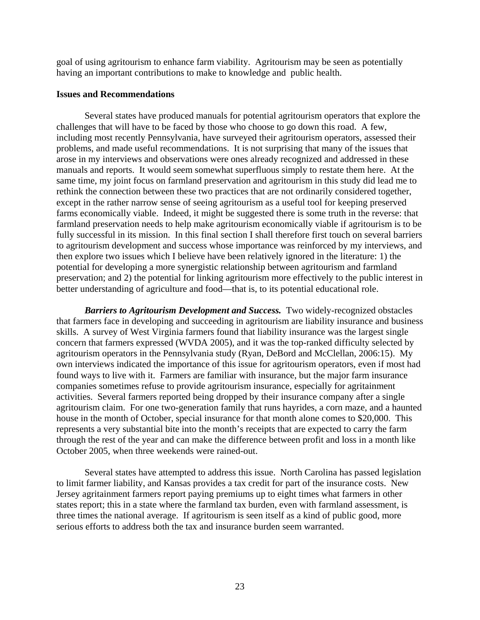goal of using agritourism to enhance farm viability. Agritourism may be seen as potentially having an important contributions to make to knowledge and public health.

## **Issues and Recommendations**

Several states have produced manuals for potential agritourism operators that explore the challenges that will have to be faced by those who choose to go down this road. A few, including most recently Pennsylvania, have surveyed their agritourism operators, assessed their problems, and made useful recommendations. It is not surprising that many of the issues that arose in my interviews and observations were ones already recognized and addressed in these manuals and reports. It would seem somewhat superfluous simply to restate them here. At the same time, my joint focus on farmland preservation and agritourism in this study did lead me to rethink the connection between these two practices that are not ordinarily considered together, except in the rather narrow sense of seeing agritourism as a useful tool for keeping preserved farms economically viable. Indeed, it might be suggested there is some truth in the reverse: that farmland preservation needs to help make agritourism economically viable if agritourism is to be fully successful in its mission. In this final section I shall therefore first touch on several barriers to agritourism development and success whose importance was reinforced by my interviews, and then explore two issues which I believe have been relatively ignored in the literature: 1) the potential for developing a more synergistic relationship between agritourism and farmland preservation; and 2) the potential for linking agritourism more effectively to the public interest in better understanding of agriculture and food—that is, to its potential educational role.

*Barriers to Agritourism Development and Success.* Two widely-recognized obstacles that farmers face in developing and succeeding in agritourism are liability insurance and business skills. A survey of West Virginia farmers found that liability insurance was the largest single concern that farmers expressed (WVDA 2005), and it was the top-ranked difficulty selected by agritourism operators in the Pennsylvania study (Ryan, DeBord and McClellan, 2006:15). My own interviews indicated the importance of this issue for agritourism operators, even if most had found ways to live with it. Farmers are familiar with insurance, but the major farm insurance companies sometimes refuse to provide agritourism insurance, especially for agritainment activities. Several farmers reported being dropped by their insurance company after a single agritourism claim. For one two-generation family that runs hayrides, a corn maze, and a haunted house in the month of October, special insurance for that month alone comes to \$20,000. This represents a very substantial bite into the month's receipts that are expected to carry the farm through the rest of the year and can make the difference between profit and loss in a month like October 2005, when three weekends were rained-out.

Several states have attempted to address this issue. North Carolina has passed legislation to limit farmer liability, and Kansas provides a tax credit for part of the insurance costs. New Jersey agritainment farmers report paying premiums up to eight times what farmers in other states report; this in a state where the farmland tax burden, even with farmland assessment, is three times the national average. If agritourism is seen itself as a kind of public good, more serious efforts to address both the tax and insurance burden seem warranted.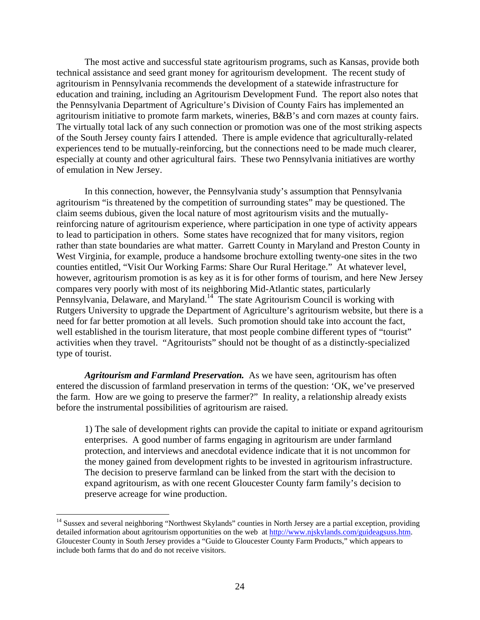The most active and successful state agritourism programs, such as Kansas, provide both technical assistance and seed grant money for agritourism development. The recent study of agritourism in Pennsylvania recommends the development of a statewide infrastructure for education and training, including an Agritourism Development Fund. The report also notes that the Pennsylvania Department of Agriculture's Division of County Fairs has implemented an agritourism initiative to promote farm markets, wineries, B&B's and corn mazes at county fairs. The virtually total lack of any such connection or promotion was one of the most striking aspects of the South Jersey county fairs I attended. There is ample evidence that agriculturally-related experiences tend to be mutually-reinforcing, but the connections need to be made much clearer, especially at county and other agricultural fairs. These two Pennsylvania initiatives are worthy of emulation in New Jersey.

In this connection, however, the Pennsylvania study's assumption that Pennsylvania agritourism "is threatened by the competition of surrounding states" may be questioned. The claim seems dubious, given the local nature of most agritourism visits and the mutuallyreinforcing nature of agritourism experience, where participation in one type of activity appears to lead to participation in others. Some states have recognized that for many visitors, region rather than state boundaries are what matter. Garrett County in Maryland and Preston County in West Virginia, for example, produce a handsome brochure extolling twenty-one sites in the two counties entitled, "Visit Our Working Farms: Share Our Rural Heritage." At whatever level, however, agritourism promotion is as key as it is for other forms of tourism, and here New Jersey compares very poorly with most of its neighboring Mid-Atlantic states, particularly Pennsylvania, Delaware, and Maryland.<sup>14</sup> The state Agritourism Council is working with Rutgers University to upgrade the Department of Agriculture's agritourism website, but there is a need for far better promotion at all levels. Such promotion should take into account the fact, well established in the tourism literature, that most people combine different types of "tourist" activities when they travel. "Agritourists" should not be thought of as a distinctly-specialized type of tourist.

*Agritourism and Farmland Preservation.* As we have seen, agritourism has often entered the discussion of farmland preservation in terms of the question: 'OK, we've preserved the farm. How are we going to preserve the farmer?" In reality, a relationship already exists before the instrumental possibilities of agritourism are raised.

1) The sale of development rights can provide the capital to initiate or expand agritourism enterprises. A good number of farms engaging in agritourism are under farmland protection, and interviews and anecdotal evidence indicate that it is not uncommon for the money gained from development rights to be invested in agritourism infrastructure. The decision to preserve farmland can be linked from the start with the decision to expand agritourism, as with one recent Gloucester County farm family's decision to preserve acreage for wine production.

<span id="page-24-0"></span><sup>&</sup>lt;sup>14</sup> Sussex and several neighboring "Northwest Skylands" counties in North Jersey are a partial exception, providing detailed information about agritourism opportunities on the web at [http://www.njskylands.com/guideagsuss.htm.](http://www.njskylands.com/guideagsuss.htm) Gloucester County in South Jersey provides a "Guide to Gloucester County Farm Products," which appears to include both farms that do and do not receive visitors.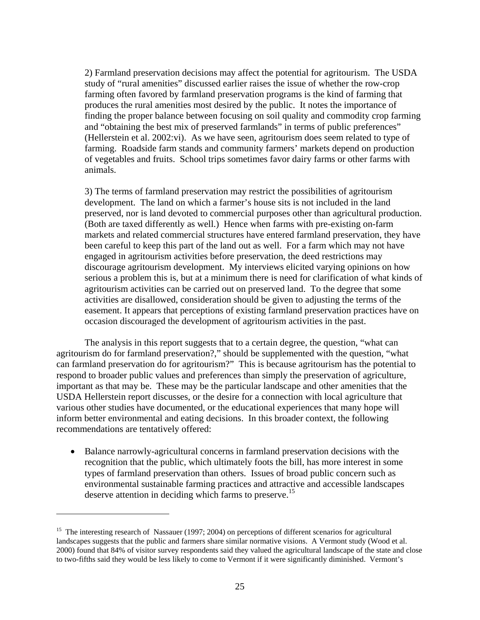<span id="page-25-0"></span>2) Farmland preservation decisions may affect the potential for agritourism. The USDA study of "rural amenities" discussed earlier raises the issue of whether the row-crop farming often favored by farmland preservation programs is the kind of farming that produces the rural amenities most desired by the public. It notes the importance of finding the proper balance between focusing on soil quality and commodity crop farming and "obtaining the best mix of preserved farmlands" in terms of public preferences" (Hellerstein et al. 2002:vi). As we have seen, agritourism does seem related to type of farming. Roadside farm stands and community farmers' markets depend on production of vegetables and fruits. School trips sometimes favor dairy farms or other farms with animals.

3) The terms of farmland preservation may restrict the possibilities of agritourism development. The land on which a farmer's house sits is not included in the land preserved, nor is land devoted to commercial purposes other than agricultural production. (Both are taxed differently as well.) Hence when farms with pre-existing on-farm markets and related commercial structures have entered farmland preservation, they have been careful to keep this part of the land out as well. For a farm which may not have engaged in agritourism activities before preservation, the deed restrictions may discourage agritourism development. My interviews elicited varying opinions on how serious a problem this is, but at a minimum there is need for clarification of what kinds of agritourism activities can be carried out on preserved land. To the degree that some activities are disallowed, consideration should be given to adjusting the terms of the easement. It appears that perceptions of existing farmland preservation practices have on occasion discouraged the development of agritourism activities in the past.

The analysis in this report suggests that to a certain degree, the question, "what can agritourism do for farmland preservation?," should be supplemented with the question, "what can farmland preservation do for agritourism?" This is because agritourism has the potential to respond to broader public values and preferences than simply the preservation of agriculture, important as that may be. These may be the particular landscape and other amenities that the USDA Hellerstein report discusses, or the desire for a connection with local agriculture that various other studies have documented, or the educational experiences that many hope will inform better environmental and eating decisions. In this broader context, the following recommendations are tentatively offered:

• Balance narrowly-agricultural concerns in farmland preservation decisions with the recognition that the public, which ultimately foots the bill, has more interest in some types of farmland preservation than others. Issues of broad public concern such as environmental sustainable farming practices and attractive and accessible landscapes deserve attention in deciding which farms to preserve.<sup>[15](#page-25-0)</sup>

<u>.</u>

<sup>&</sup>lt;sup>15</sup> The interesting research of Nassauer (1997; 2004) on perceptions of different scenarios for agricultural landscapes suggests that the public and farmers share similar normative visions. A Vermont study (Wood et al. 2000) found that 84% of visitor survey respondents said they valued the agricultural landscape of the state and close to two-fifths said they would be less likely to come to Vermont if it were significantly diminished. Vermont's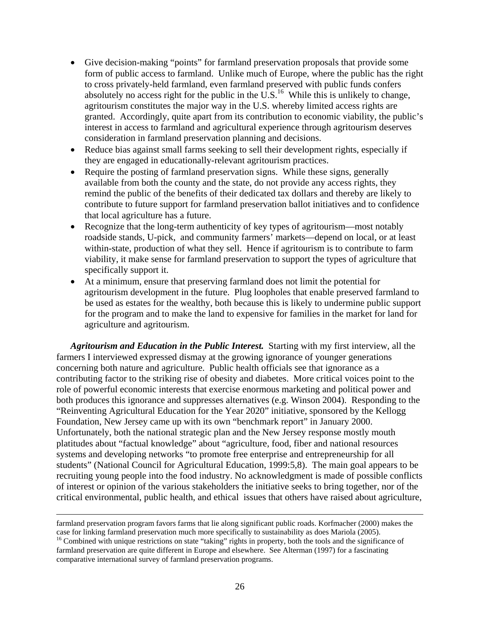- Give decision-making "points" for farmland preservation proposals that provide some form of public access to farmland. Unlike much of Europe, where the public has the right to cross privately-held farmland, even farmland preserved with public funds confers absolutely no access right for the public in the U.S.<sup>16</sup> While this is unlikely to change, agritourism constitutes the major way in the U.S. whereby limited access rights are granted. Accordingly, quite apart from its contribution to economic viability, the public's interest in access to farmland and agricultural experience through agritourism deserves consideration in farmland preservation planning and decisions.
- Reduce bias against small farms seeking to sell their development rights, especially if they are engaged in educationally-relevant agritourism practices.
- Require the posting of farmland preservation signs. While these signs, generally available from both the county and the state, do not provide any access rights, they remind the public of the benefits of their dedicated tax dollars and thereby are likely to contribute to future support for farmland preservation ballot initiatives and to confidence that local agriculture has a future.
- Recognize that the long-term authenticity of key types of agritourism—most notably roadside stands, U-pick, and community farmers' markets—depend on local, or at least within-state, production of what they sell. Hence if agritourism is to contribute to farm viability, it make sense for farmland preservation to support the types of agriculture that specifically support it.
- At a minimum, ensure that preserving farmland does not limit the potential for agritourism development in the future. Plug loopholes that enable preserved farmland to be used as estates for the wealthy, both because this is likely to undermine public support for the program and to make the land to expensive for families in the market for land for agriculture and agritourism.

*Agritourism and Education in the Public Interest.* Starting with my first interview, all the farmers I interviewed expressed dismay at the growing ignorance of younger generations concerning both nature and agriculture. Public health officials see that ignorance as a contributing factor to the striking rise of obesity and diabetes. More critical voices point to the role of powerful economic interests that exercise enormous marketing and political power and both produces this ignorance and suppresses alternatives (e.g. Winson 2004). Responding to the "Reinventing Agricultural Education for the Year 2020" initiative, sponsored by the Kellogg Foundation, New Jersey came up with its own "benchmark report" in January 2000. Unfortunately, both the national strategic plan and the New Jersey response mostly mouth platitudes about "factual knowledge" about "agriculture, food, fiber and national resources systems and developing networks "to promote free enterprise and entrepreneurship for all students" (National Council for Agricultural Education, 1999:5,8). The main goal appears to be recruiting young people into the food industry. No acknowledgment is made of possible conflicts of interest or opinion of the various stakeholders the initiative seeks to bring together, nor of the critical environmental, public health, and ethical issues that others have raised about agriculture,

farmland preservation program favors farms that lie along significant public roads. Korfmacher (2000) makes the case for linking farmland preservation much more specifically to sustainability as does Mariola (2005). 16 Combined with unique restrictions on state "taking" rights in property, both the tools and the significance of

<span id="page-26-0"></span>farmland preservation are quite different in Europe and elsewhere. See Alterman (1997) for a fascinating comparative international survey of farmland preservation programs.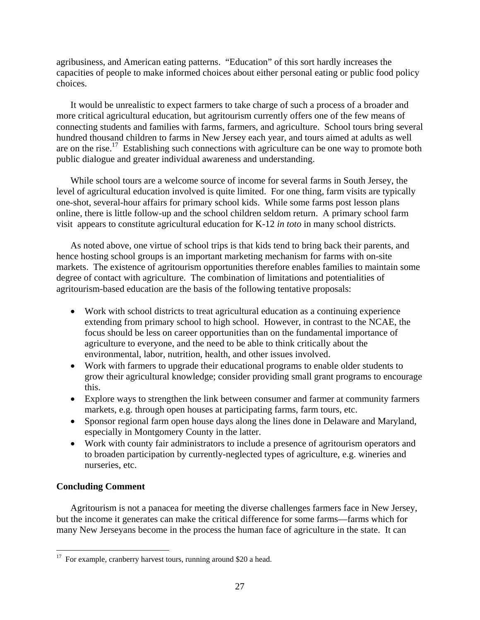agribusiness, and American eating patterns. "Education" of this sort hardly increases the capacities of people to make informed choices about either personal eating or public food policy choices.

It would be unrealistic to expect farmers to take charge of such a process of a broader and more critical agricultural education, but agritourism currently offers one of the few means of connecting students and families with farms, farmers, and agriculture. School tours bring several hundred thousand children to farms in New Jersey each year, and tours aimed at adults as well are on the rise.<sup>17</sup> Establishing such connections with agriculture can be one way to promote both public dialogue and greater individual awareness and understanding.

While school tours are a welcome source of income for several farms in South Jersey, the level of agricultural education involved is quite limited. For one thing, farm visits are typically one-shot, several-hour affairs for primary school kids. While some farms post lesson plans online, there is little follow-up and the school children seldom return. A primary school farm visit appears to constitute agricultural education for K-12 *in toto* in many school districts.

As noted above, one virtue of school trips is that kids tend to bring back their parents, and hence hosting school groups is an important marketing mechanism for farms with on-site markets. The existence of agritourism opportunities therefore enables families to maintain some degree of contact with agriculture. The combination of limitations and potentialities of agritourism-based education are the basis of the following tentative proposals:

- Work with school districts to treat agricultural education as a continuing experience extending from primary school to high school. However, in contrast to the NCAE, the focus should be less on career opportunities than on the fundamental importance of agriculture to everyone, and the need to be able to think critically about the environmental, labor, nutrition, health, and other issues involved.
- Work with farmers to upgrade their educational programs to enable older students to grow their agricultural knowledge; consider providing small grant programs to encourage this.
- Explore ways to strengthen the link between consumer and farmer at community farmers markets, e.g. through open houses at participating farms, farm tours, etc.
- Sponsor regional farm open house days along the lines done in Delaware and Maryland, especially in Montgomery County in the latter.
- Work with county fair administrators to include a presence of agritourism operators and to broaden participation by currently-neglected types of agriculture, e.g. wineries and nurseries, etc.

## **Concluding Comment**

<u>.</u>

Agritourism is not a panacea for meeting the diverse challenges farmers face in New Jersey, but the income it generates can make the critical difference for some farms—farms which for many New Jerseyans become in the process the human face of agriculture in the state. It can

<span id="page-27-0"></span> $17$  For example, cranberry harvest tours, running around \$20 a head.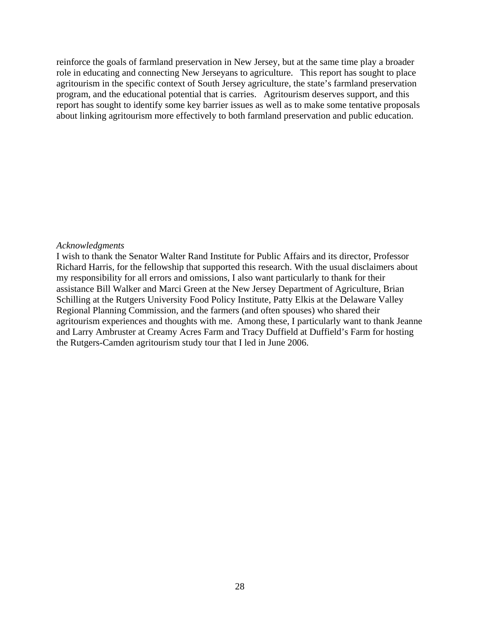reinforce the goals of farmland preservation in New Jersey, but at the same time play a broader role in educating and connecting New Jerseyans to agriculture. This report has sought to place agritourism in the specific context of South Jersey agriculture, the state's farmland preservation program, and the educational potential that is carries. Agritourism deserves support, and this report has sought to identify some key barrier issues as well as to make some tentative proposals about linking agritourism more effectively to both farmland preservation and public education.

#### *Acknowledgments*

I wish to thank the Senator Walter Rand Institute for Public Affairs and its director, Professor Richard Harris, for the fellowship that supported this research. With the usual disclaimers about my responsibility for all errors and omissions, I also want particularly to thank for their assistance Bill Walker and Marci Green at the New Jersey Department of Agriculture, Brian Schilling at the Rutgers University Food Policy Institute, Patty Elkis at the Delaware Valley Regional Planning Commission, and the farmers (and often spouses) who shared their agritourism experiences and thoughts with me. Among these, I particularly want to thank Jeanne and Larry Ambruster at Creamy Acres Farm and Tracy Duffield at Duffield's Farm for hosting the Rutgers-Camden agritourism study tour that I led in June 2006.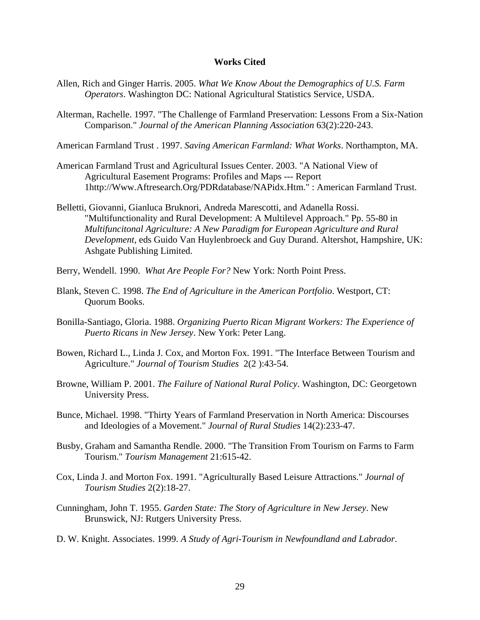#### **Works Cited**

- Allen, Rich and Ginger Harris. 2005. *What We Know About the Demographics of U.S. Farm Operators*. Washington DC: National Agricultural Statistics Service, USDA.
- Alterman, Rachelle. 1997. "The Challenge of Farmland Preservation: Lessons From a Six-Nation Comparison." *Journal of the American Planning Association* 63(2):220-243.
- American Farmland Trust . 1997. *Saving American Farmland: What Works*. Northampton, MA.
- American Farmland Trust and Agricultural Issues Center. 2003. "A National View of Agricultural Easement Programs: Profiles and Maps --- Report 1http://Www.Aftresearch.Org/PDRdatabase/NAPidx.Htm." : American Farmland Trust.
- Belletti, Giovanni, Gianluca Bruknori, Andreda Marescotti, and Adanella Rossi. "Multifunctionality and Rural Development: A Multilevel Approach." Pp. 55-80 in *Multifuncitonal Agriculture: A New Paradigm for European Agriculture and Rural Development*, eds Guido Van Huylenbroeck and Guy Durand. Altershot, Hampshire, UK: Ashgate Publishing Limited.
- Berry, Wendell. 1990. *What Are People For?* New York: North Point Press.
- Blank, Steven C. 1998. *The End of Agriculture in the American Portfolio*. Westport, CT: Quorum Books.
- Bonilla-Santiago, Gloria. 1988. *Organizing Puerto Rican Migrant Workers: The Experience of Puerto Ricans in New Jersey*. New York: Peter Lang.
- Bowen, Richard L., Linda J. Cox, and Morton Fox. 1991. "The Interface Between Tourism and Agriculture." *Journal of Tourism Studies* 2(2 ):43-54.
- Browne, William P. 2001. *The Failure of National Rural Policy*. Washington, DC: Georgetown University Press.
- Bunce, Michael. 1998. "Thirty Years of Farmland Preservation in North America: Discourses and Ideologies of a Movement." *Journal of Rural Studies* 14(2):233-47.
- Busby, Graham and Samantha Rendle. 2000. "The Transition From Tourism on Farms to Farm Tourism." *Tourism Management* 21:615-42.
- Cox, Linda J. and Morton Fox. 1991. "Agriculturally Based Leisure Attractions." *Journal of Tourism Studies* 2(2):18-27.
- Cunningham, John T. 1955. *Garden State: The Story of Agriculture in New Jersey*. New Brunswick, NJ: Rutgers University Press.
- D. W. Knight. Associates. 1999. *A Study of Agri-Tourism in Newfoundland and Labrador*.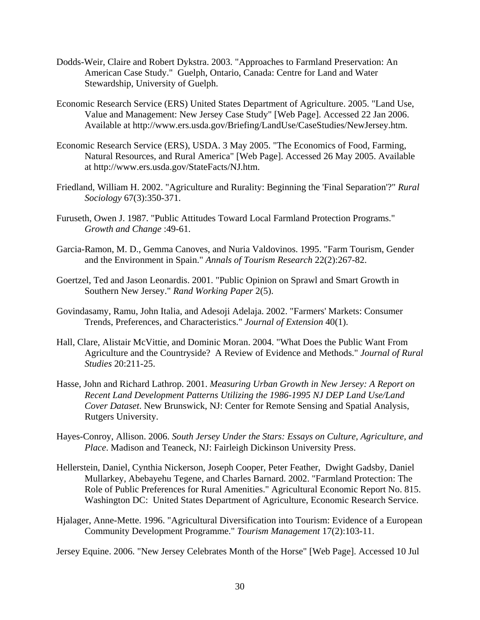- Dodds-Weir, Claire and Robert Dykstra. 2003. "Approaches to Farmland Preservation: An American Case Study." Guelph, Ontario, Canada: Centre for Land and Water Stewardship, University of Guelph.
- Economic Research Service (ERS) United States Department of Agriculture. 2005. "Land Use, Value and Management: New Jersey Case Study" [Web Page]. Accessed 22 Jan 2006. Available at http://www.ers.usda.gov/Briefing/LandUse/CaseStudies/NewJersey.htm.
- Economic Research Service (ERS), USDA. 3 May 2005. "The Economics of Food, Farming, Natural Resources, and Rural America" [Web Page]. Accessed 26 May 2005. Available at http://www.ers.usda.gov/StateFacts/NJ.htm.
- Friedland, William H. 2002. "Agriculture and Rurality: Beginning the 'Final Separation'?" *Rural Sociology* 67(3):350-371.
- Furuseth, Owen J. 1987. "Public Attitudes Toward Local Farmland Protection Programs." *Growth and Change* :49-61.
- Garcia-Ramon, M. D., Gemma Canoves, and Nuria Valdovinos. 1995. "Farm Tourism, Gender and the Environment in Spain." *Annals of Tourism Research* 22(2):267-82.
- Goertzel, Ted and Jason Leonardis. 2001. "Public Opinion on Sprawl and Smart Growth in Southern New Jersey." *Rand Working Paper* 2(5).
- Govindasamy, Ramu, John Italia, and Adesoji Adelaja. 2002. "Farmers' Markets: Consumer Trends, Preferences, and Characteristics." *Journal of Extension* 40(1).
- Hall, Clare, Alistair McVittie, and Dominic Moran. 2004. "What Does the Public Want From Agriculture and the Countryside? A Review of Evidence and Methods." *Journal of Rural Studies* 20:211-25.
- Hasse, John and Richard Lathrop. 2001. *Measuring Urban Growth in New Jersey: A Report on Recent Land Development Patterns Utilizing the 1986-1995 NJ DEP Land Use/Land Cover Dataset*. New Brunswick, NJ: Center for Remote Sensing and Spatial Analysis, Rutgers University.
- Hayes-Conroy, Allison. 2006. *South Jersey Under the Stars: Essays on Culture, Agriculture, and Place*. Madison and Teaneck, NJ: Fairleigh Dickinson University Press.
- Hellerstein, Daniel, Cynthia Nickerson, Joseph Cooper, Peter Feather, Dwight Gadsby, Daniel Mullarkey, Abebayehu Tegene, and Charles Barnard. 2002. "Farmland Protection: The Role of Public Preferences for Rural Amenities." Agricultural Economic Report No. 815. Washington DC: United States Department of Agriculture, Economic Research Service.
- Hjalager, Anne-Mette. 1996. "Agricultural Diversification into Tourism: Evidence of a European Community Development Programme." *Tourism Management* 17(2):103-11.

Jersey Equine. 2006. "New Jersey Celebrates Month of the Horse" [Web Page]. Accessed 10 Jul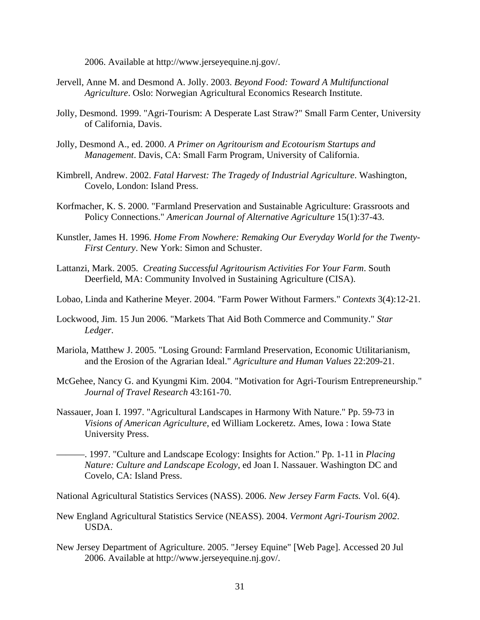2006. Available at http://www.jerseyequine.nj.gov/.

- Jervell, Anne M. and Desmond A. Jolly. 2003. *Beyond Food: Toward A Multifunctional Agriculture*. Oslo: Norwegian Agricultural Economics Research Institute.
- Jolly, Desmond. 1999. "Agri-Tourism: A Desperate Last Straw?" Small Farm Center, University of California, Davis.
- Jolly, Desmond A., ed. 2000. *A Primer on Agritourism and Ecotourism Startups and Management*. Davis, CA: Small Farm Program, University of California.
- Kimbrell, Andrew. 2002. *Fatal Harvest: The Tragedy of Industrial Agriculture*. Washington, Covelo, London: Island Press.
- Korfmacher, K. S. 2000. "Farmland Preservation and Sustainable Agriculture: Grassroots and Policy Connections." *American Journal of Alternative Agriculture* 15(1):37-43.
- Kunstler, James H. 1996. *Home From Nowhere: Remaking Our Everyday World for the Twenty-First Century*. New York: Simon and Schuster.
- Lattanzi, Mark. 2005. *Creating Successful Agritourism Activities For Your Farm*. South Deerfield, MA: Community Involved in Sustaining Agriculture (CISA).
- Lobao, Linda and Katherine Meyer. 2004. "Farm Power Without Farmers." *Contexts* 3(4):12-21.
- Lockwood, Jim. 15 Jun 2006. "Markets That Aid Both Commerce and Community." *Star Ledger*.
- Mariola, Matthew J. 2005. "Losing Ground: Farmland Preservation, Economic Utilitarianism, and the Erosion of the Agrarian Ideal." *Agriculture and Human Values* 22:209-21.
- McGehee, Nancy G. and Kyungmi Kim. 2004. "Motivation for Agri-Tourism Entrepreneurship." *Journal of Travel Research* 43:161-70.
- Nassauer, Joan I. 1997. "Agricultural Landscapes in Harmony With Nature." Pp. 59-73 in *Visions of American Agriculture*, ed William Lockeretz. Ames, Iowa : Iowa State University Press.
- ———. 1997. "Culture and Landscape Ecology: Insights for Action." Pp. 1-11 in *Placing Nature: Culture and Landscape Ecology*, ed Joan I. Nassauer. Washington DC and Covelo, CA: Island Press.
- National Agricultural Statistics Services (NASS). 2006. *New Jersey Farm Facts.* Vol. 6(4).
- New England Agricultural Statistics Service (NEASS). 2004. *Vermont Agri-Tourism 2002*. USDA.
- New Jersey Department of Agriculture. 2005. "Jersey Equine" [Web Page]. Accessed 20 Jul 2006. Available at http://www.jerseyequine.nj.gov/.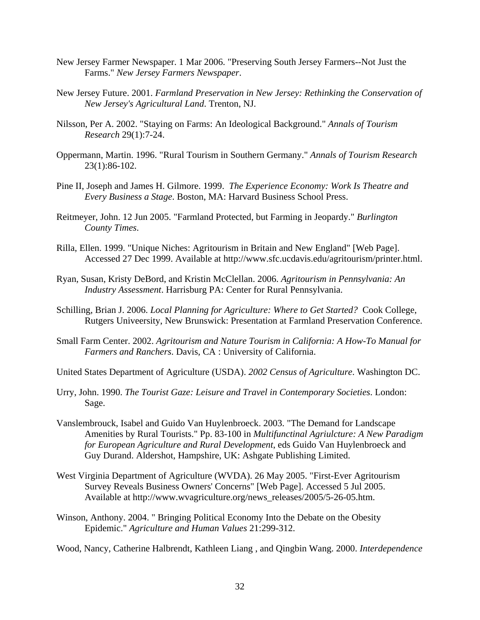- New Jersey Farmer Newspaper. 1 Mar 2006. "Preserving South Jersey Farmers--Not Just the Farms." *New Jersey Farmers Newspaper*.
- New Jersey Future. 2001. *Farmland Preservation in New Jersey: Rethinking the Conservation of New Jersey's Agricultural Land*. Trenton, NJ.
- Nilsson, Per A. 2002. "Staying on Farms: An Ideological Background." *Annals of Tourism Research* 29(1):7-24.
- Oppermann, Martin. 1996. "Rural Tourism in Southern Germany." *Annals of Tourism Research* 23(1):86-102.
- Pine II, Joseph and James H. Gilmore. 1999. *The Experience Economy: Work Is Theatre and Every Business a Stage*. Boston, MA: Harvard Business School Press.
- Reitmeyer, John. 12 Jun 2005. "Farmland Protected, but Farming in Jeopardy." *Burlington County Times*.
- Rilla, Ellen. 1999. "Unique Niches: Agritourism in Britain and New England" [Web Page]. Accessed 27 Dec 1999. Available at http://www.sfc.ucdavis.edu/agritourism/printer.html.
- Ryan, Susan, Kristy DeBord, and Kristin McClellan. 2006. *Agritourism in Pennsylvania: An Industry Assessment*. Harrisburg PA: Center for Rural Pennsylvania.
- Schilling, Brian J. 2006. *Local Planning for Agriculture: Where to Get Started?* Cook College, Rutgers Univeersity, New Brunswick: Presentation at Farmland Preservation Conference.
- Small Farm Center. 2002. *Agritourism and Nature Tourism in California: A How-To Manual for Farmers and Ranchers*. Davis, CA : University of California.
- United States Department of Agriculture (USDA). *2002 Census of Agriculture*. Washington DC.
- Urry, John. 1990. *The Tourist Gaze: Leisure and Travel in Contemporary Societies*. London: Sage.
- Vanslembrouck, Isabel and Guido Van Huylenbroeck. 2003. "The Demand for Landscape Amenities by Rural Tourists." Pp. 83-100 in *Multifunctinal Agriulcture: A New Paradigm for European Agriculture and Rural Development*, eds Guido Van Huylenbroeck and Guy Durand. Aldershot, Hampshire, UK: Ashgate Publishing Limited.
- West Virginia Department of Agriculture (WVDA). 26 May 2005. "First-Ever Agritourism Survey Reveals Business Owners' Concerns" [Web Page]. Accessed 5 Jul 2005. Available at http://www.wvagriculture.org/news\_releases/2005/5-26-05.htm.
- Winson, Anthony. 2004. " Bringing Political Economy Into the Debate on the Obesity Epidemic." *Agriculture and Human Values* 21:299-312.
- Wood, Nancy, Catherine Halbrendt, Kathleen Liang , and Qingbin Wang. 2000. *Interdependence*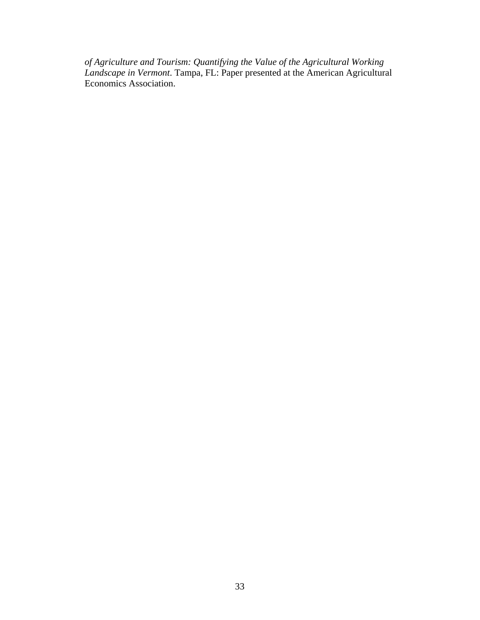*of Agriculture and Tourism: Quantifying the Value of the Agricultural Working Landscape in Vermont*. Tampa, FL: Paper presented at the American Agricultural Economics Association.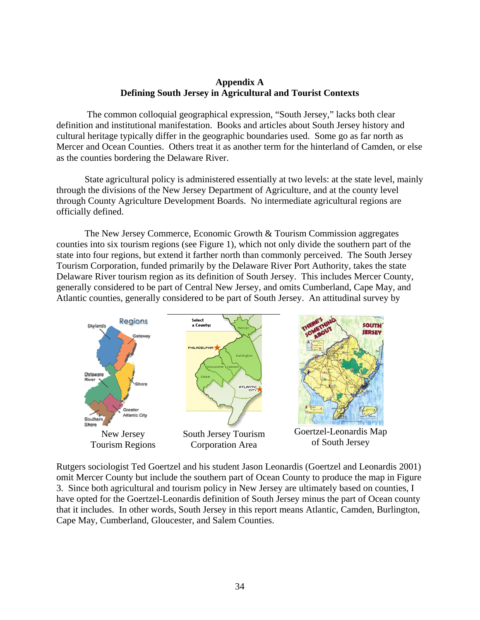## **Appendix A Defining South Jersey in Agricultural and Tourist Contexts**

 The common colloquial geographical expression, "South Jersey," lacks both clear definition and institutional manifestation. Books and articles about South Jersey history and cultural heritage typically differ in the geographic boundaries used. Some go as far north as Mercer and Ocean Counties. Others treat it as another term for the hinterland of Camden, or else as the counties bordering the Delaware River.

State agricultural policy is administered essentially at two levels: at the state level, mainly through the divisions of the New Jersey Department of Agriculture, and at the county level through County Agriculture Development Boards. No intermediate agricultural regions are officially defined.

The New Jersey Commerce, Economic Growth  $\&$  Tourism Commission aggregates counties into six tourism regions (see Figure 1), which not only divide the southern part of the state into four regions, but extend it farther north than commonly perceived. The South Jersey Tourism Corporation, funded primarily by the Delaware River Port Authority, takes the state Delaware River tourism region as its definition of South Jersey. This includes Mercer County, generally considered to be part of Central New Jersey, and omits Cumberland, Cape May, and Atlantic counties, generally considered to be part of South Jersey. An attitudinal survey by



Rutgers sociologist Ted Goertzel and his student Jason Leonardis (Goertzel and Leonardis 2001) omit Mercer County but include the southern part of Ocean County to produce the map in Figure 3. Since both agricultural and tourism policy in New Jersey are ultimately based on counties, I have opted for the Goertzel-Leonardis definition of South Jersey minus the part of Ocean county that it includes. In other words, South Jersey in this report means Atlantic, Camden, Burlington, Cape May, Cumberland, Gloucester, and Salem Counties.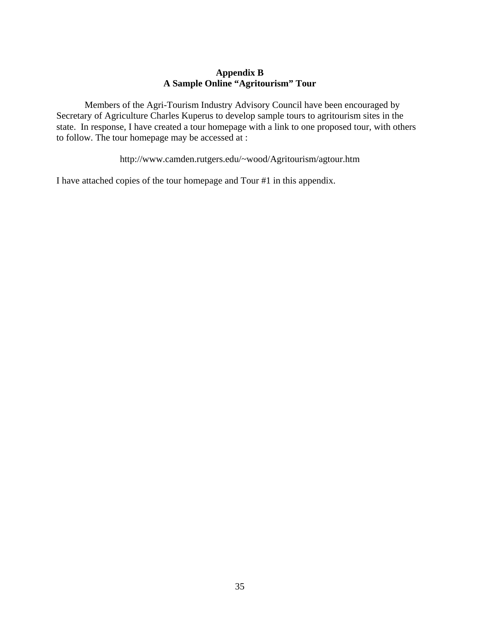## **Appendix B A Sample Online "Agritourism" Tour**

Members of the Agri-Tourism Industry Advisory Council have been encouraged by Secretary of Agriculture Charles Kuperus to develop sample tours to agritourism sites in the state. In response, I have created a tour homepage with a link to one proposed tour, with others to follow. The tour homepage may be accessed at :

http://www.camden.rutgers.edu/~wood/Agritourism/agtour.htm

I have attached copies of the tour homepage and Tour #1 in this appendix.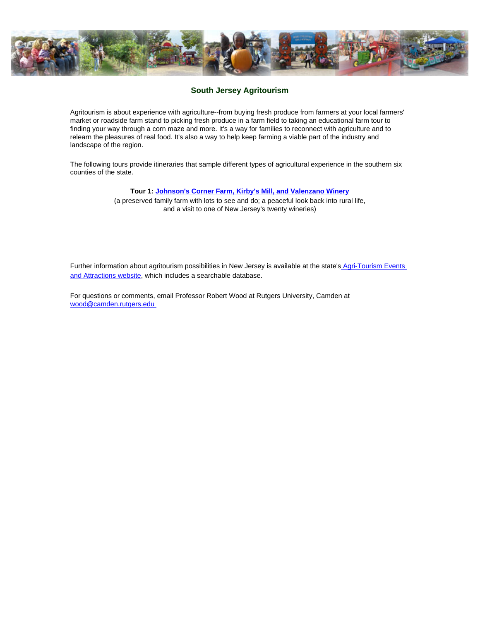<span id="page-36-0"></span>

#### **South Jersey Agritourism**

Agritourism is about experience with agriculture--from buying fresh produce from farmers at your local farmers' market or roadside farm stand to picking fresh produce in a farm field to taking an educational farm tour to finding your way through a corn maze and more. It's a way for families to reconnect with agriculture and to relearn the pleasures of real food. It's also a way to help keep farming a viable part of the industry and landscape of the region.

The following tours provide itineraries that sample different types of agricultural experience in the southern six counties of the state.

#### **Tour 1: [Johnson's Corner Farm, Kirby's Mill, and Valenzano Winery](#page-37-0)**

(a preserved family farm with lots to see and do; a peaceful look back into rural life, and a visit to one of New Jersey's twenty wineries)

Further information about agritourism possibilities in New Jersey is available at the state's Agri-Tourism Events [and Attractions website,](http://www.state.nj.us/jerseyfresh/agritourismhome.htm) which includes a searchable database.

For questions or comments, email Professor Robert Wood at Rutgers University, Camden at [wood@camden.rutgers.edu](mailto:wood@camden.rutgers.edu)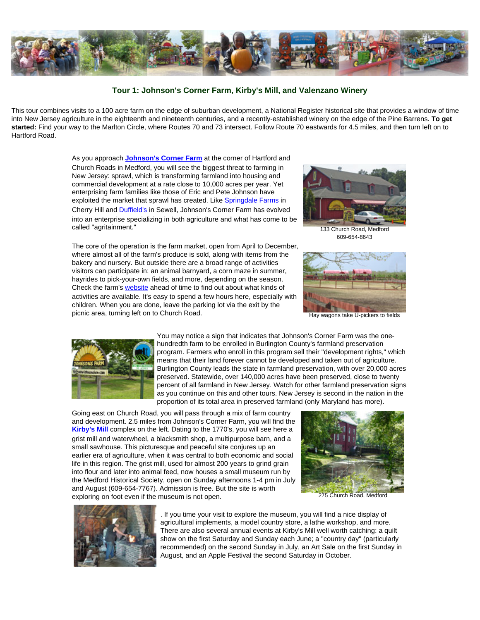<span id="page-37-0"></span>

#### **Tour 1: Johnson's Corner Farm, Kirby's Mill, and Valenzano Winery**

This tour combines visits to a 100 acre farm on the edge of suburban development, a National Register historical site that provides a window of time into New Jersey agriculture in the eighteenth and nineteenth centuries, and a recently-established winery on the edge of the Pine Barrens. **To get started:** Find your way to the Marlton Circle, where Routes 70 and 73 intersect. Follow Route 70 eastwards for 4.5 miles, and then turn left on to Hartford Road.

> As you approach **[Johnson's Corner Farm](http://www.johnsonsfarm.com/)** at the corner of Hartford and Church Roads in Medford, you will see the biggest threat to farming in New Jersey: sprawl, which is transforming farmland into housing and commercial development at a rate close to 10,000 acres per year. Yet enterprising farm families like those of Eric and Pete Johnson have exploited the market that sprawl has created. Like [Springdale Farms](http://www.springdalefarms.com/) in Cherry Hill and [Duffield's](http://www.duffieldsfarm.com/) in Sewell, Johnson's Corner Farm has evolved into an enterprise specializing in both agriculture and what has come to be called "agritainment."

> The core of the operation is the farm market, open from April to December, where almost all of the farm's produce is sold, along with items from the bakery and nursery. But outside there are a broad range of activities visitors can participate in: an animal barnyard, a corn maze in summer, hayrides to pick-your-own fields, and more, depending on the season. Check the farm's [website](http://www.johnsonsfarm.com/) ahead of time to find out about what kinds of activities are available. It's easy to spend a few hours here, especially with children. When you are done, leave the parking lot via the exit by the picnic area, turning left on to Church Road.



133 Church Road, Medford 609-654-8643



Hay wagons take U-pickers to fields



You may notice a sign that indicates that Johnson's Corner Farm was the onehundredth farm to be enrolled in Burlington County's farmland preservation program. Farmers who enroll in this program sell their "development rights," which means that their land forever cannot be developed and taken out of agriculture. Burlington County leads the state in farmland preservation, with over 20,000 acres preserved. Statewide, over 140,000 acres have been preserved, close to twenty percent of all farmland in New Jersey. Watch for other farmland preservation signs as you continue on this and other tours. New Jersey is second in the nation in the proportion of its total area in preserved farmland (only Maryland has more).

Going east on Church Road, you will pass through a mix of farm country and development. 2.5 miles from Johnson's Corner Farm, you will find the **[Kirby's Mill](http://medfordnj.com/history/kirbys.html)** complex on the left. Dating to the 1770's, you will see here a grist mill and waterwheel, a blacksmith shop, a multipurpose barn, and a small sawhouse. This picturesque and peaceful site conjures up an earlier era of agriculture, when it was central to both economic and social life in this region. The grist mill, used for almost 200 years to grind grain into flour and later into animal feed, now houses a small museum run by the Medford Historical Society, open on Sunday afternoons 1-4 pm in July and August (609-654-7767). Admission is free. But the site is worth exploring on foot even if the museum is not open. 275 Church Road, Medford





. If you time your visit to explore the museum, you will find a nice display of agricultural implements, a model country store, a lathe workshop, and more. There are also several annual events at Kirby's Mill well worth catching: a quilt show on the first Saturday and Sunday each June; a "country day" (particularly recommended) on the second Sunday in July, an Art Sale on the first Sunday in August, and an Apple Festival the second Saturday in October.